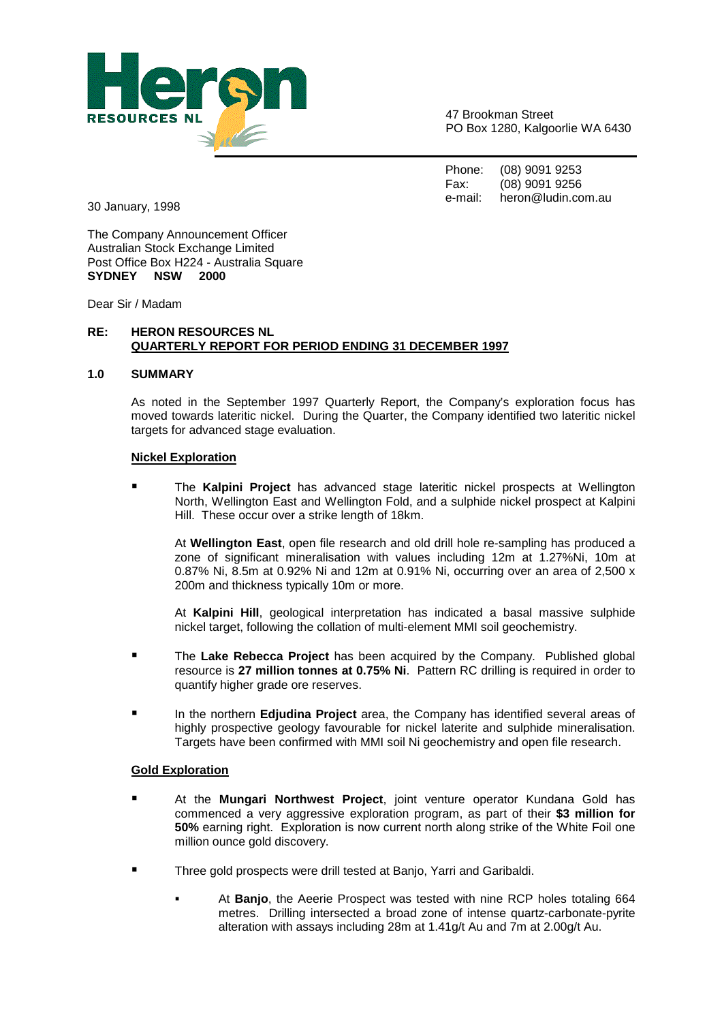

47 Brookman Street PO Box 1280, Kalgoorlie WA 6430

Phone: (08) 9091 9253 Fax: (08) 9091 9256 e-mail: heron@ludin.com.au

30 January, 1998

The Company Announcement Officer Australian Stock Exchange Limited Post Office Box H224 - Australia Square **SYDNEY NSW 2000** 

Dear Sir / Madam

## **RE: HERON RESOURCES NL QUARTERLY REPORT FOR PERIOD ENDING 31 DECEMBER 1997**

## **1.0 SUMMARY**

As noted in the September 1997 Quarterly Report, the Company's exploration focus has moved towards lateritic nickel. During the Quarter, the Company identified two lateritic nickel targets for advanced stage evaluation.

## **Nickel Exploration**

- The **Kalpini Project** has advanced stage lateritic nickel prospects at Wellington North, Wellington East and Wellington Fold, and a sulphide nickel prospect at Kalpini Hill. These occur over a strike length of 18km.

At **Wellington East**, open file research and old drill hole re-sampling has produced a zone of significant mineralisation with values including 12m at 1.27%Ni, 10m at 0.87% Ni, 8.5m at 0.92% Ni and 12m at 0.91% Ni, occurring over an area of 2,500 x 200m and thickness typically 10m or more.

At **Kalpini Hill**, geological interpretation has indicated a basal massive sulphide nickel target, following the collation of multi-element MMI soil geochemistry.

- - The **Lake Rebecca Project** has been acquired by the Company. Published global resource is **27 million tonnes at 0.75% Ni**. Pattern RC drilling is required in order to quantify higher grade ore reserves.
- - In the northern **Edjudina Project** area, the Company has identified several areas of highly prospective geology favourable for nickel laterite and sulphide mineralisation. Targets have been confirmed with MMI soil Ni geochemistry and open file research.

## **Gold Exploration**

- - At the **Mungari Northwest Project**, joint venture operator Kundana Gold has commenced a very aggressive exploration program, as part of their **\$3 million for 50%** earning right. Exploration is now current north along strike of the White Foil one million ounce gold discovery.
- - Three gold prospects were drill tested at Banjo, Yarri and Garibaldi.
	- - At **Banjo**, the Aeerie Prospect was tested with nine RCP holes totaling 664 metres. Drilling intersected a broad zone of intense quartz-carbonate-pyrite alteration with assays including 28m at 1.41g/t Au and 7m at 2.00g/t Au.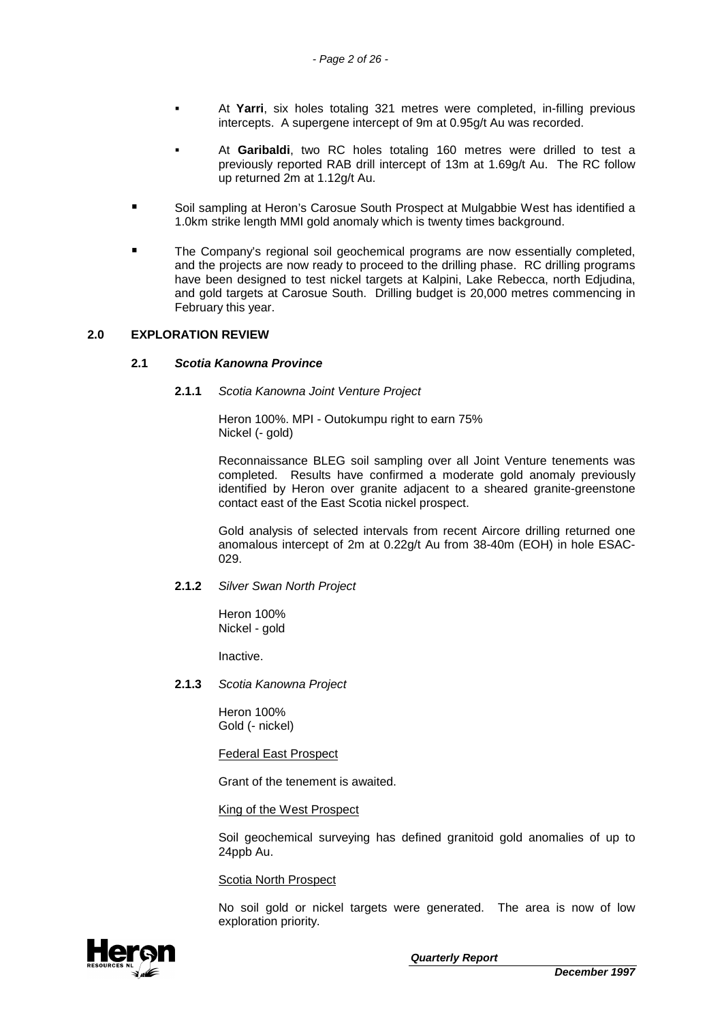- - At **Yarri**, six holes totaling 321 metres were completed, in-filling previous intercepts. A supergene intercept of 9m at 0.95g/t Au was recorded.
- - At **Garibaldi**, two RC holes totaling 160 metres were drilled to test a previously reported RAB drill intercept of 13m at 1.69g/t Au. The RC follow up returned 2m at 1.12g/t Au.
- - Soil sampling at Heron's Carosue South Prospect at Mulgabbie West has identified a 1.0km strike length MMI gold anomaly which is twenty times background.
- - The Company's regional soil geochemical programs are now essentially completed, and the projects are now ready to proceed to the drilling phase. RC drilling programs have been designed to test nickel targets at Kalpini, Lake Rebecca, north Edjudina, and gold targets at Carosue South. Drilling budget is 20,000 metres commencing in February this year.

## **2.0 EXPLORATION REVIEW**

## **2.1 Scotia Kanowna Province**

## **2.1.1** Scotia Kanowna Joint Venture Project

Heron 100%. MPI - Outokumpu right to earn 75% Nickel (- gold)

Reconnaissance BLEG soil sampling over all Joint Venture tenements was completed. Results have confirmed a moderate gold anomaly previously identified by Heron over granite adjacent to a sheared granite-greenstone contact east of the East Scotia nickel prospect.

Gold analysis of selected intervals from recent Aircore drilling returned one anomalous intercept of 2m at 0.22g/t Au from 38-40m (EOH) in hole ESAC-029.

## **2.1.2** Silver Swan North Project

Heron 100% Nickel - gold

Inactive.

**2.1.3** Scotia Kanowna Project

Heron 100% Gold (- nickel)

Federal East Prospect

Grant of the tenement is awaited.

King of the West Prospect

Soil geochemical surveying has defined granitoid gold anomalies of up to 24ppb Au.

Scotia North Prospect

No soil gold or nickel targets were generated. The area is now of low exploration priority.

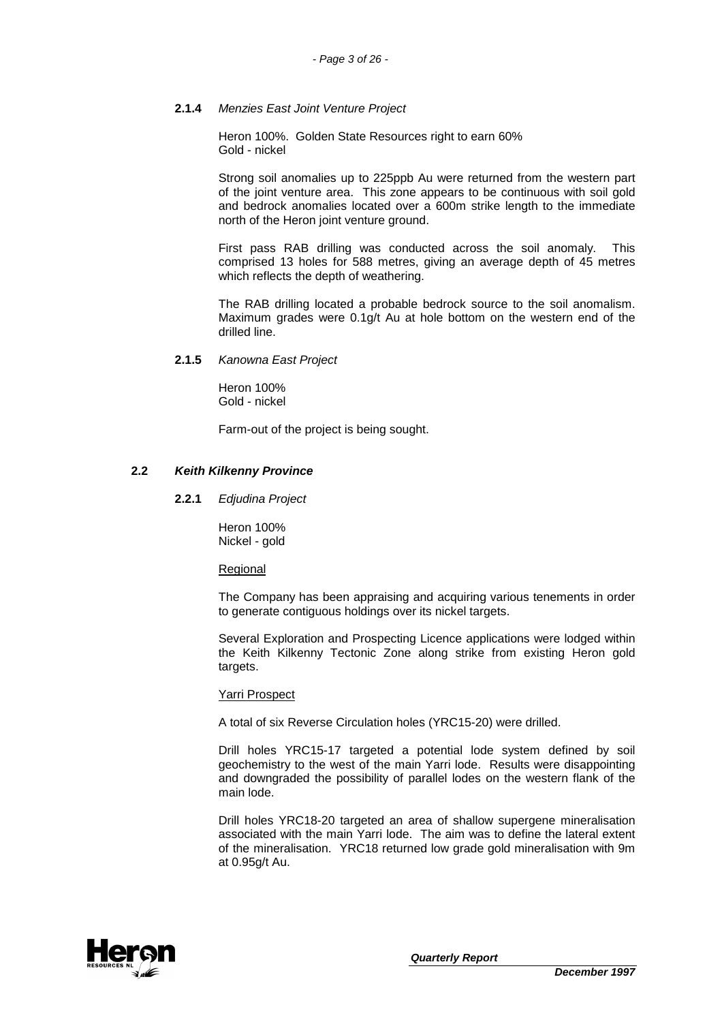## **2.1.4** Menzies East Joint Venture Project

Heron 100%. Golden State Resources right to earn 60% Gold - nickel

Strong soil anomalies up to 225ppb Au were returned from the western part of the joint venture area. This zone appears to be continuous with soil gold and bedrock anomalies located over a 600m strike length to the immediate north of the Heron joint venture ground.

First pass RAB drilling was conducted across the soil anomaly. This comprised 13 holes for 588 metres, giving an average depth of 45 metres which reflects the depth of weathering.

The RAB drilling located a probable bedrock source to the soil anomalism. Maximum grades were 0.1g/t Au at hole bottom on the western end of the drilled line.

**2.1.5** Kanowna East Project

Heron 100% Gold - nickel

Farm-out of the project is being sought.

## **2.2 Keith Kilkenny Province**

**2.2.1** Edjudina Project

Heron 100% Nickel - gold

Regional

The Company has been appraising and acquiring various tenements in order to generate contiguous holdings over its nickel targets.

Several Exploration and Prospecting Licence applications were lodged within the Keith Kilkenny Tectonic Zone along strike from existing Heron gold targets.

## Yarri Prospect

A total of six Reverse Circulation holes (YRC15-20) were drilled.

Drill holes YRC15-17 targeted a potential lode system defined by soil geochemistry to the west of the main Yarri lode. Results were disappointing and downgraded the possibility of parallel lodes on the western flank of the main lode.

Drill holes YRC18-20 targeted an area of shallow supergene mineralisation associated with the main Yarri lode. The aim was to define the lateral extent of the mineralisation. YRC18 returned low grade gold mineralisation with 9m at 0.95g/t Au.

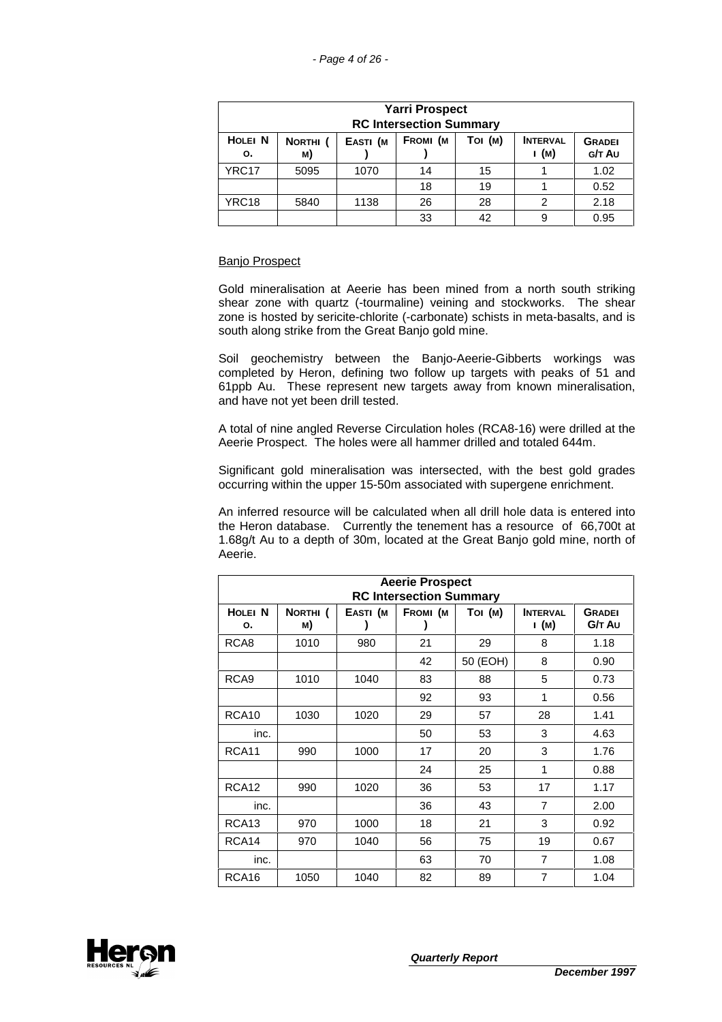|                                                                                                                                           | <b>Yarri Prospect</b><br><b>RC Intersection Summary</b> |      |    |    |   |      |
|-------------------------------------------------------------------------------------------------------------------------------------------|---------------------------------------------------------|------|----|----|---|------|
| <b>HOLEI N</b><br>FROMI (M<br>Toi (M)<br><b>INTERVAL</b><br>EASTI (M<br>NORTHI <sub>(</sub><br><b>GRADEI</b><br>(м)<br>G/T Au<br>M)<br>о. |                                                         |      |    |    |   |      |
| YRC <sub>17</sub>                                                                                                                         | 5095                                                    | 1070 | 14 | 15 |   | 1.02 |
|                                                                                                                                           |                                                         |      | 18 | 19 |   | 0.52 |
| YRC <sub>18</sub>                                                                                                                         | 5840                                                    | 1138 | 26 | 28 | 2 | 2.18 |
|                                                                                                                                           |                                                         |      | 33 | 42 | 9 | 0.95 |

## Banjo Prospect

Gold mineralisation at Aeerie has been mined from a north south striking shear zone with quartz (-tourmaline) veining and stockworks. The shear zone is hosted by sericite-chlorite (-carbonate) schists in meta-basalts, and is south along strike from the Great Banjo gold mine.

Soil geochemistry between the Banjo-Aeerie-Gibberts workings was completed by Heron, defining two follow up targets with peaks of 51 and 61ppb Au. These represent new targets away from known mineralisation, and have not yet been drill tested.

A total of nine angled Reverse Circulation holes (RCA8-16) were drilled at the Aeerie Prospect. The holes were all hammer drilled and totaled 644m.

Significant gold mineralisation was intersected, with the best gold grades occurring within the upper 15-50m associated with supergene enrichment.

An inferred resource will be calculated when all drill hole data is entered into the Heron database. Currently the tenement has a resource of 66,700t at 1.68g/t Au to a depth of 30m, located at the Great Banjo gold mine, north of Aeerie.

|                    | <b>Aeerie Prospect</b> |          |                                            |          |                 |               |  |
|--------------------|------------------------|----------|--------------------------------------------|----------|-----------------|---------------|--|
| HOLEI <sub>N</sub> | NORTHI <sub>(</sub>    | EASTI (M | <b>RC Intersection Summary</b><br>Fromi (m | Toi (M)  | <b>INTERVAL</b> | <b>GRADEI</b> |  |
| о.                 | M)                     |          |                                            |          | і (м)           | G/T Au        |  |
| RCA <sub>8</sub>   | 1010                   | 980      | 21                                         | 29       | 8               | 1.18          |  |
|                    |                        |          | 42                                         | 50 (EOH) | 8               | 0.90          |  |
| RCA <sub>9</sub>   | 1010                   | 1040     | 83                                         | 88       | 5               | 0.73          |  |
|                    |                        |          | 92                                         | 93       | 1               | 0.56          |  |
| RCA <sub>10</sub>  | 1030                   | 1020     | 29                                         | 57       | 28              | 1.41          |  |
| inc.               |                        |          | 50                                         | 53       | 3               | 4.63          |  |
| RCA <sub>11</sub>  | 990                    | 1000     | 17                                         | 20       | 3               | 1.76          |  |
|                    |                        |          | 24                                         | 25       | 1               | 0.88          |  |
| RCA <sub>12</sub>  | 990                    | 1020     | 36                                         | 53       | 17              | 1.17          |  |
| inc.               |                        |          | 36                                         | 43       | $\overline{7}$  | 2.00          |  |
| RCA <sub>13</sub>  | 970                    | 1000     | 18                                         | 21       | 3               | 0.92          |  |
| RCA <sub>14</sub>  | 970                    | 1040     | 56                                         | 75       | 19              | 0.67          |  |
| inc.               |                        |          | 63                                         | 70       | $\overline{7}$  | 1.08          |  |
| RCA <sub>16</sub>  | 1050                   | 1040     | 82                                         | 89       | 7               | 1.04          |  |

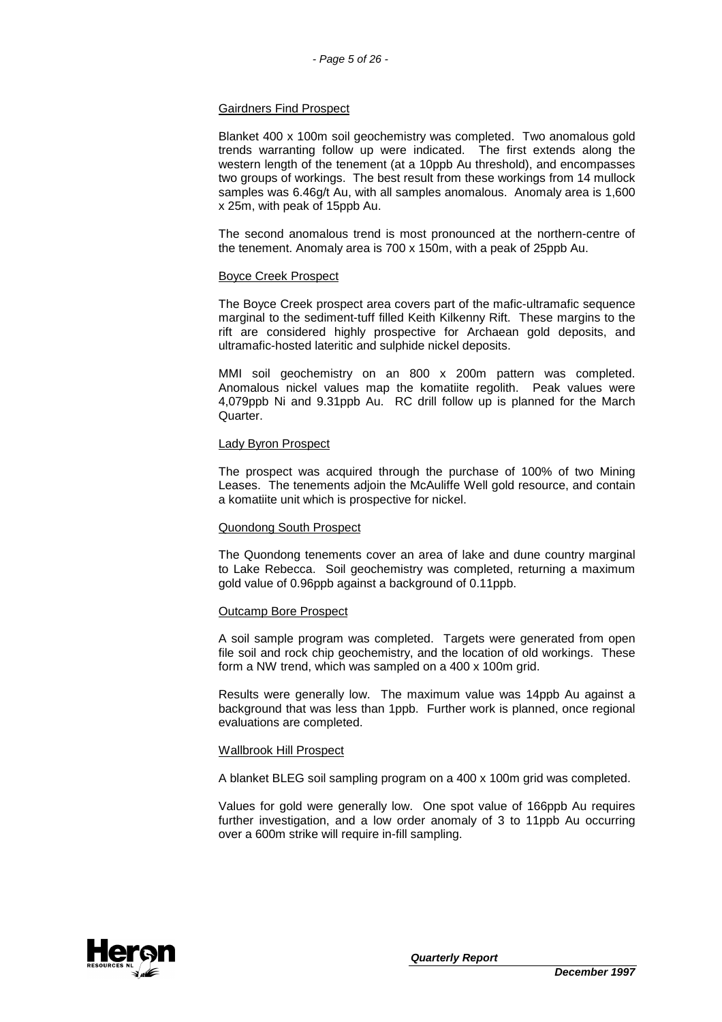## Gairdners Find Prospect

Blanket 400 x 100m soil geochemistry was completed. Two anomalous gold trends warranting follow up were indicated. The first extends along the western length of the tenement (at a 10ppb Au threshold), and encompasses two groups of workings. The best result from these workings from 14 mullock samples was 6.46g/t Au, with all samples anomalous. Anomaly area is 1,600 x 25m, with peak of 15ppb Au.

The second anomalous trend is most pronounced at the northern-centre of the tenement. Anomaly area is 700 x 150m, with a peak of 25ppb Au.

## Boyce Creek Prospect

The Boyce Creek prospect area covers part of the mafic-ultramafic sequence marginal to the sediment-tuff filled Keith Kilkenny Rift. These margins to the rift are considered highly prospective for Archaean gold deposits, and ultramafic-hosted lateritic and sulphide nickel deposits.

MMI soil geochemistry on an 800 x 200m pattern was completed. Anomalous nickel values map the komatiite regolith. Peak values were 4,079ppb Ni and 9.31ppb Au. RC drill follow up is planned for the March Quarter.

## Lady Byron Prospect

The prospect was acquired through the purchase of 100% of two Mining Leases. The tenements adjoin the McAuliffe Well gold resource, and contain a komatiite unit which is prospective for nickel.

## Quondong South Prospect

The Quondong tenements cover an area of lake and dune country marginal to Lake Rebecca. Soil geochemistry was completed, returning a maximum gold value of 0.96ppb against a background of 0.11ppb.

#### Outcamp Bore Prospect

A soil sample program was completed. Targets were generated from open file soil and rock chip geochemistry, and the location of old workings. These form a NW trend, which was sampled on a 400 x 100m grid.

Results were generally low. The maximum value was 14ppb Au against a background that was less than 1ppb. Further work is planned, once regional evaluations are completed.

## Wallbrook Hill Prospect

A blanket BLEG soil sampling program on a 400 x 100m grid was completed.

Values for gold were generally low. One spot value of 166ppb Au requires further investigation, and a low order anomaly of 3 to 11ppb Au occurring over a 600m strike will require in-fill sampling.

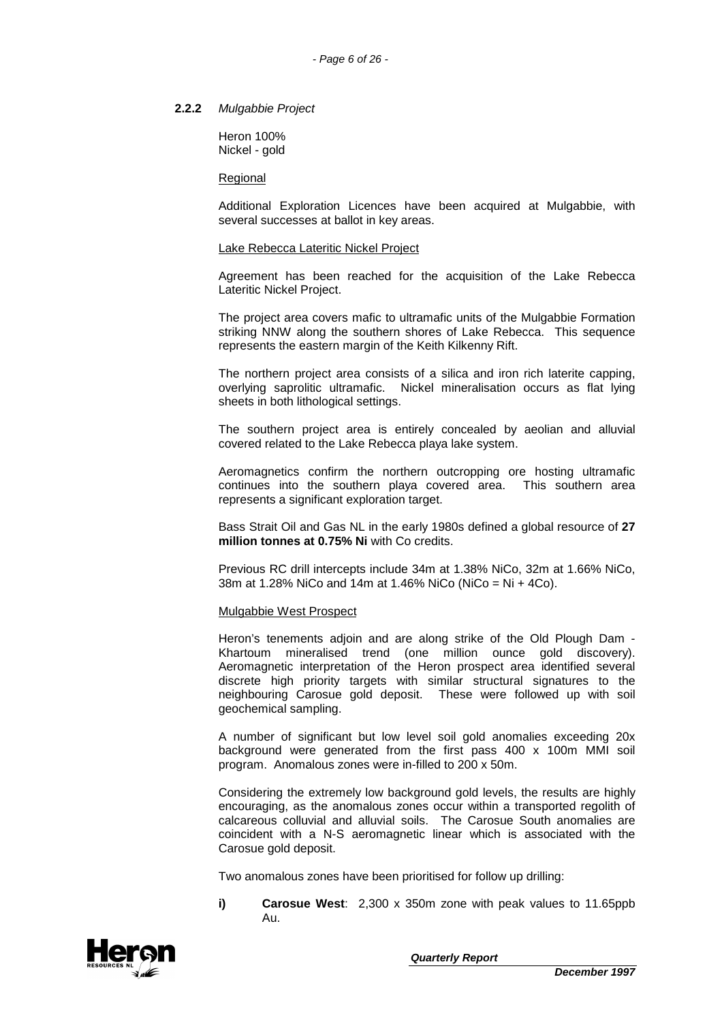## **2.2.2** Mulgabbie Project

Heron 100% Nickel - gold

#### **Regional**

Additional Exploration Licences have been acquired at Mulgabbie, with several successes at ballot in key areas.

#### Lake Rebecca Lateritic Nickel Project

Agreement has been reached for the acquisition of the Lake Rebecca Lateritic Nickel Project.

The project area covers mafic to ultramafic units of the Mulgabbie Formation striking NNW along the southern shores of Lake Rebecca. This sequence represents the eastern margin of the Keith Kilkenny Rift.

The northern project area consists of a silica and iron rich laterite capping, overlying saprolitic ultramafic. Nickel mineralisation occurs as flat lying sheets in both lithological settings.

The southern project area is entirely concealed by aeolian and alluvial covered related to the Lake Rebecca playa lake system.

Aeromagnetics confirm the northern outcropping ore hosting ultramafic continues into the southern playa covered area. This southern area represents a significant exploration target.

Bass Strait Oil and Gas NL in the early 1980s defined a global resource of **27 million tonnes at 0.75% Ni** with Co credits.

Previous RC drill intercepts include 34m at 1.38% NiCo, 32m at 1.66% NiCo, 38m at 1.28% NiCo and 14m at 1.46% NiCo (NiCo = Ni + 4Co).

#### Mulgabbie West Prospect

Heron's tenements adjoin and are along strike of the Old Plough Dam - Khartoum mineralised trend (one million ounce gold discovery). Aeromagnetic interpretation of the Heron prospect area identified several discrete high priority targets with similar structural signatures to the neighbouring Carosue gold deposit. These were followed up with soil geochemical sampling.

A number of significant but low level soil gold anomalies exceeding 20x background were generated from the first pass 400 x 100m MMI soil program. Anomalous zones were in-filled to 200 x 50m.

Considering the extremely low background gold levels, the results are highly encouraging, as the anomalous zones occur within a transported regolith of calcareous colluvial and alluvial soils. The Carosue South anomalies are coincident with a N-S aeromagnetic linear which is associated with the Carosue gold deposit.

Two anomalous zones have been prioritised for follow up drilling:

**i) Carosue West**: 2,300 x 350m zone with peak values to 11.65ppb  $\Delta$ <sub>U</sub>

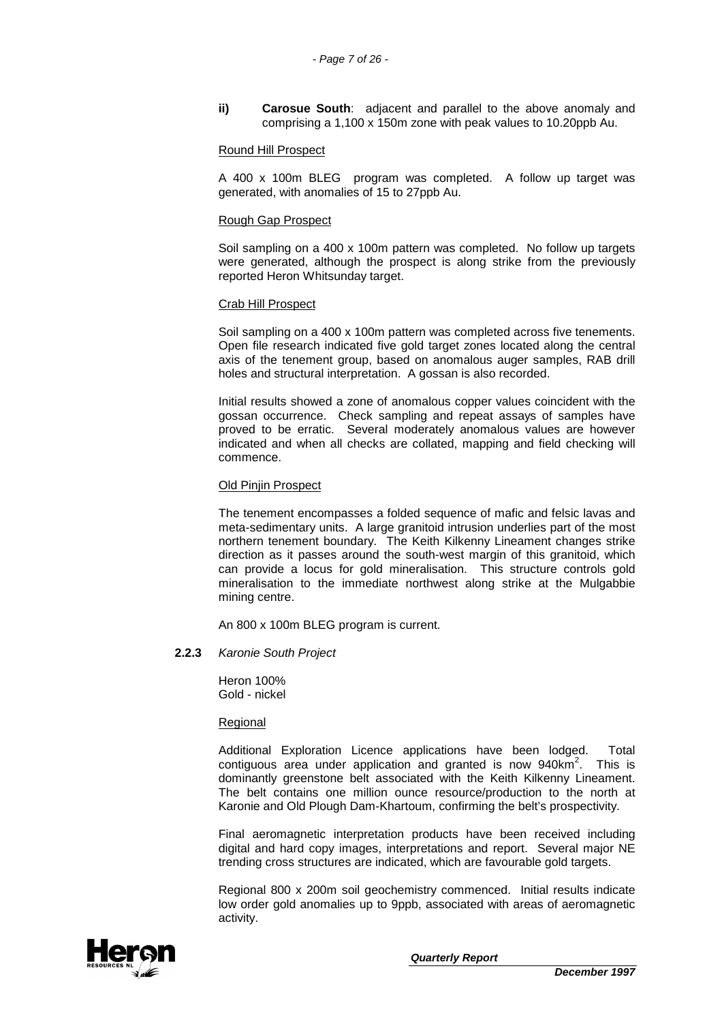**ii) Carosue South**: adjacent and parallel to the above anomaly and comprising a 1,100 x 150m zone with peak values to 10.20ppb Au.

#### Round Hill Prospect

A 400 x 100m BLEG program was completed. A follow up target was generated, with anomalies of 15 to 27ppb Au.

#### Rough Gap Prospect

Soil sampling on a 400 x 100m pattern was completed. No follow up targets were generated, although the prospect is along strike from the previously reported Heron Whitsunday target.

#### Crab Hill Prospect

Soil sampling on a 400 x 100m pattern was completed across five tenements. Open file research indicated five gold target zones located along the central axis of the tenement group, based on anomalous auger samples, RAB drill holes and structural interpretation. A gossan is also recorded.

Initial results showed a zone of anomalous copper values coincident with the gossan occurrence. Check sampling and repeat assays of samples have proved to be erratic. Several moderately anomalous values are however indicated and when all checks are collated, mapping and field checking will commence.

#### Old Pinjin Prospect

The tenement encompasses a folded sequence of mafic and felsic lavas and meta-sedimentary units. A large granitoid intrusion underlies part of the most northern tenement boundary. The Keith Kilkenny Lineament changes strike direction as it passes around the south-west margin of this granitoid, which can provide a locus for gold mineralisation. This structure controls gold mineralisation to the immediate northwest along strike at the Mulgabbie mining centre.

An 800 x 100m BLEG program is current.

## **2.2.3** Karonie South Project

Heron 100% Gold - nickel

#### Regional

Additional Exploration Licence applications have been lodged. Total contiguous area under application and granted is now  $940 \text{km}^2$ . This is dominantly greenstone belt associated with the Keith Kilkenny Lineament. The belt contains one million ounce resource/production to the north at Karonie and Old Plough Dam-Khartoum, confirming the belt's prospectivity.

Final aeromagnetic interpretation products have been received including digital and hard copy images, interpretations and report. Several major NE trending cross structures are indicated, which are favourable gold targets.

Regional 800 x 200m soil geochemistry commenced. Initial results indicate low order gold anomalies up to 9ppb, associated with areas of aeromagnetic activity.

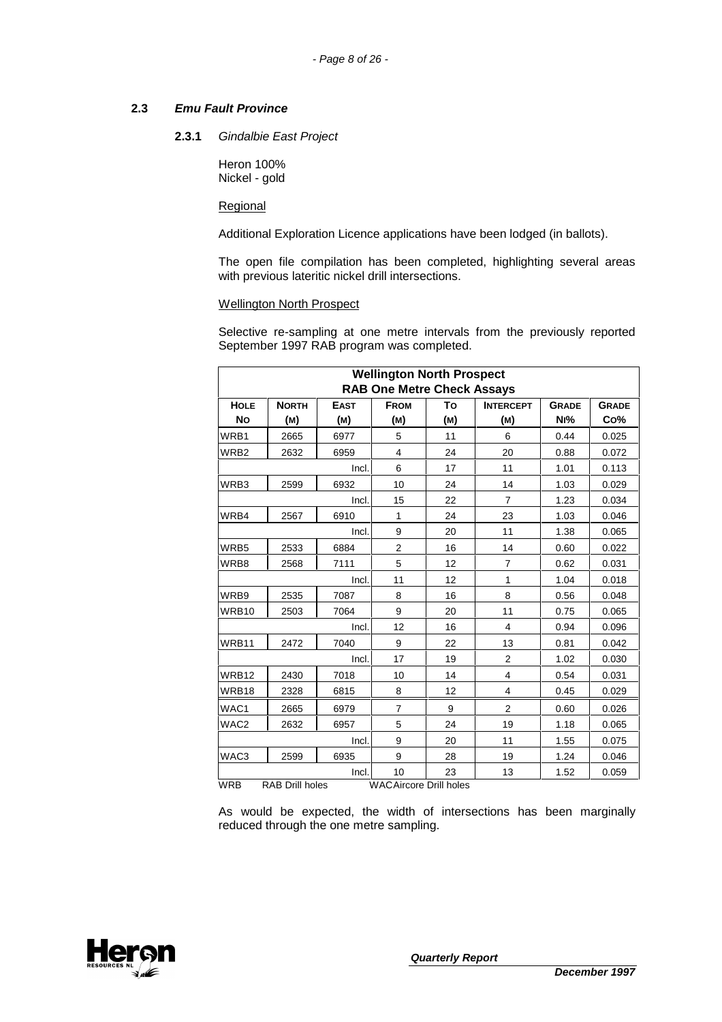## **2.3 Emu Fault Province**

## **2.3.1** Gindalbie East Project

Heron 100% Nickel - gold

Regional

Additional Exploration Licence applications have been lodged (in ballots).

The open file compilation has been completed, highlighting several areas with previous lateritic nickel drill intersections.

## Wellington North Prospect

Selective re-sampling at one metre intervals from the previously reported September 1997 RAB program was completed.

|                  | <b>Wellington North Prospect</b><br><b>RAB One Metre Check Assays</b> |             |                               |     |                  |              |              |
|------------------|-----------------------------------------------------------------------|-------------|-------------------------------|-----|------------------|--------------|--------------|
| <b>HOLE</b>      | <b>NORTH</b>                                                          | <b>EAST</b> | <b>FROM</b>                   | To  | <b>INTERCEPT</b> | <b>GRADE</b> | <b>GRADE</b> |
| <b>No</b>        | (M)                                                                   | (M)         | (M)                           | (M) | (M)              | Ni%          | Co%          |
| WRB1             | 2665                                                                  | 6977        | 5                             | 11  | 6                | 0.44         | 0.025        |
| WRB <sub>2</sub> | 2632                                                                  | 6959        | 4                             | 24  | 20               | 0.88         | 0.072        |
|                  |                                                                       | Incl.       | 6                             | 17  | 11               | 1.01         | 0.113        |
| WRB3             | 2599                                                                  | 6932        | 10                            | 24  | 14               | 1.03         | 0.029        |
|                  |                                                                       | Incl.       | 15                            | 22  | $\overline{7}$   | 1.23         | 0.034        |
| WRB4             | 2567                                                                  | 6910        | 1                             | 24  | 23               | 1.03         | 0.046        |
|                  |                                                                       | Incl.       | 9                             | 20  | 11               | 1.38         | 0.065        |
| WRB5             | 2533                                                                  | 6884        | $\overline{2}$                | 16  | 14               | 0.60         | 0.022        |
| WRB8             | 2568                                                                  | 7111        | 5                             | 12  | $\overline{7}$   | 0.62         | 0.031        |
|                  |                                                                       | Incl.       | 11                            | 12  | 1                | 1.04         | 0.018        |
| WRB9             | 2535                                                                  | 7087        | 8                             | 16  | 8                | 0.56         | 0.048        |
| WRB10            | 2503                                                                  | 7064        | 9                             | 20  | 11               | 0.75         | 0.065        |
|                  |                                                                       | Incl.       | 12                            | 16  | $\overline{4}$   | 0.94         | 0.096        |
| WRB11            | 2472                                                                  | 7040        | 9                             | 22  | 13               | 0.81         | 0.042        |
|                  |                                                                       | Incl.       | 17                            | 19  | $\overline{2}$   | 1.02         | 0.030        |
| <b>WRB12</b>     | 2430                                                                  | 7018        | 10                            | 14  | 4                | 0.54         | 0.031        |
| WRB18            | 2328                                                                  | 6815        | 8                             | 12  | 4                | 0.45         | 0.029        |
| WAC1             | 2665                                                                  | 6979        | $\overline{7}$                | 9   | $\overline{2}$   | 0.60         | 0.026        |
| WAC2             | 2632                                                                  | 6957        | 5                             | 24  | 19               | 1.18         | 0.065        |
|                  |                                                                       | Incl.       | 9                             | 20  | 11               | 1.55         | 0.075        |
| WAC3             | 2599                                                                  | 6935        | 9                             | 28  | 19               | 1.24         | 0.046        |
|                  |                                                                       | Incl.       | 10                            | 23  | 13               | 1.52         | 0.059        |
| <b>WRB</b>       | <b>RAB Drill holes</b>                                                |             | <b>WACAircore Drill holes</b> |     |                  |              |              |

As would be expected, the width of intersections has been marginally reduced through the one metre sampling.

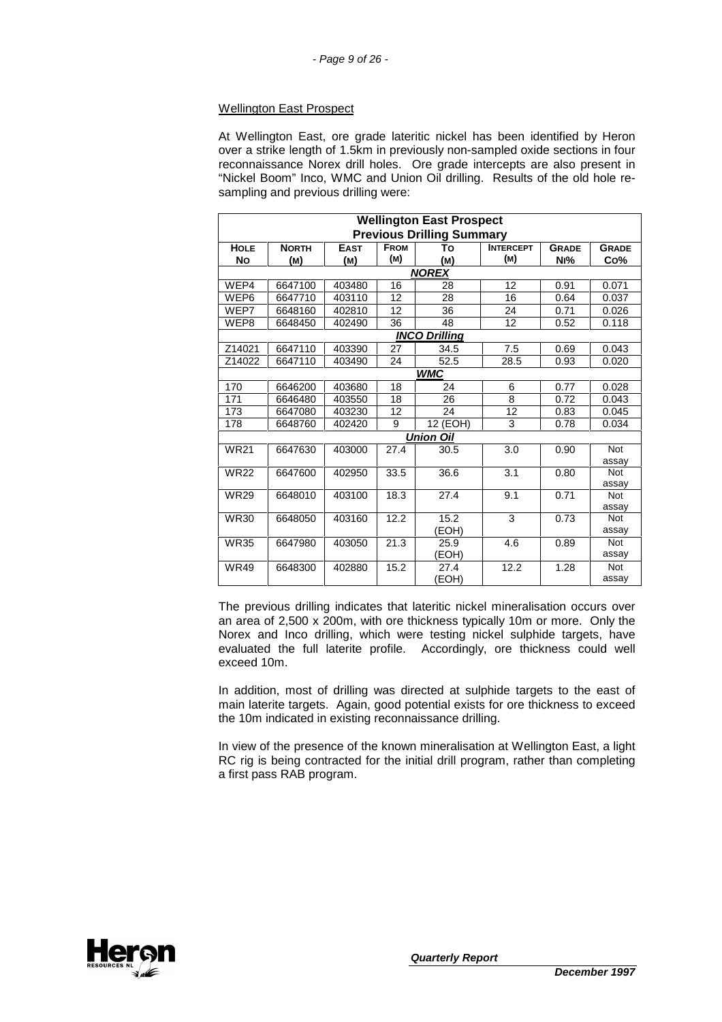## Wellington East Prospect

At Wellington East, ore grade lateritic nickel has been identified by Heron over a strike length of 1.5km in previously non-sampled oxide sections in four reconnaissance Norex drill holes. Ore grade intercepts are also present in "Nickel Boom" Inco, WMC and Union Oil drilling. Results of the old hole resampling and previous drilling were:

|             | <b>Wellington East Prospect</b>  |             |             |                      |                  |              |                     |  |
|-------------|----------------------------------|-------------|-------------|----------------------|------------------|--------------|---------------------|--|
|             | <b>Previous Drilling Summary</b> |             |             |                      |                  |              |                     |  |
| <b>HOLE</b> | <b>NORTH</b>                     | <b>EAST</b> | <b>FROM</b> | То                   | <b>INTERCEPT</b> | <b>GRADE</b> | <b>GRADE</b>        |  |
| <b>No</b>   | (M)                              | (M)         | (M)         | (M)                  | (M)              | Ni%          | Co%                 |  |
|             |                                  |             |             | <b>NOREX</b>         |                  |              |                     |  |
| WEP4        | 6647100                          | 403480      | 16          | 28                   | 12               | 0.91         | 0.071               |  |
| WEP6        | 6647710                          | 403110      | 12          | 28                   | 16               | 0.64         | 0.037               |  |
| WEP7        | 6648160                          | 402810      | 12          | 36                   | 24               | 0.71         | 0.026               |  |
| WEP8        | 6648450                          | 402490      | 36          | 48                   | 12               | 0.52         | 0.118               |  |
|             |                                  |             |             | <b>INCO Drilling</b> |                  |              |                     |  |
| Z14021      | 6647110                          | 403390      | 27          | 34.5                 | 7.5              | 0.69         | 0.043               |  |
| Z14022      | 6647110                          | 403490      | 24          | 52.5                 | 28.5             | 0.93         | 0.020               |  |
|             |                                  |             |             | <b>WMC</b>           |                  |              |                     |  |
| 170         | 6646200                          | 403680      | 18          | 24                   | 6                | 0.77         | 0.028               |  |
| 171         | 6646480                          | 403550      | 18          | 26                   | 8                | 0.72         | 0.043               |  |
| 173         | 6647080                          | 403230      | 12          | 24                   | 12               | 0.83         | 0.045               |  |
| 178         | 6648760                          | 402420      | 9           | 12 (EOH)             | 3                | 0.78         | 0.034               |  |
|             |                                  |             |             | <b>Union Oil</b>     |                  |              |                     |  |
| <b>WR21</b> | 6647630                          | 403000      | 27.4        | 30.5                 | 3.0              | 0.90         | <b>Not</b>          |  |
|             |                                  |             |             |                      |                  |              | assay               |  |
| <b>WR22</b> | 6647600                          | 402950      | 33.5        | 36.6                 | 3.1              | 0.80         | <b>Not</b>          |  |
|             |                                  |             |             |                      |                  |              | assay               |  |
| <b>WR29</b> | 6648010                          | 403100      | 18.3        | 27.4                 | 9.1              | 0.71         | <b>Not</b>          |  |
|             |                                  |             |             |                      |                  |              | assay               |  |
| <b>WR30</b> | 6648050                          | 403160      | 12.2        | 15.2                 | 3                | 0.73         | <b>Not</b>          |  |
|             |                                  |             |             | (EOH)                |                  |              | assay               |  |
| <b>WR35</b> | 6647980                          | 403050      | 21.3        | 25.9                 | 4.6              | 0.89         | <b>Not</b><br>assay |  |
|             |                                  |             |             | (EOH)                |                  |              |                     |  |
| <b>WR49</b> | 6648300                          | 402880      | 15.2        | 27.4                 | 12.2             | 1.28         | <b>Not</b><br>assay |  |
|             |                                  |             |             | (EOH)                |                  |              |                     |  |

The previous drilling indicates that lateritic nickel mineralisation occurs over an area of 2,500 x 200m, with ore thickness typically 10m or more. Only the Norex and Inco drilling, which were testing nickel sulphide targets, have evaluated the full laterite profile. Accordingly, ore thickness could well exceed 10m.

In addition, most of drilling was directed at sulphide targets to the east of main laterite targets. Again, good potential exists for ore thickness to exceed the 10m indicated in existing reconnaissance drilling.

In view of the presence of the known mineralisation at Wellington East, a light RC rig is being contracted for the initial drill program, rather than completing a first pass RAB program.

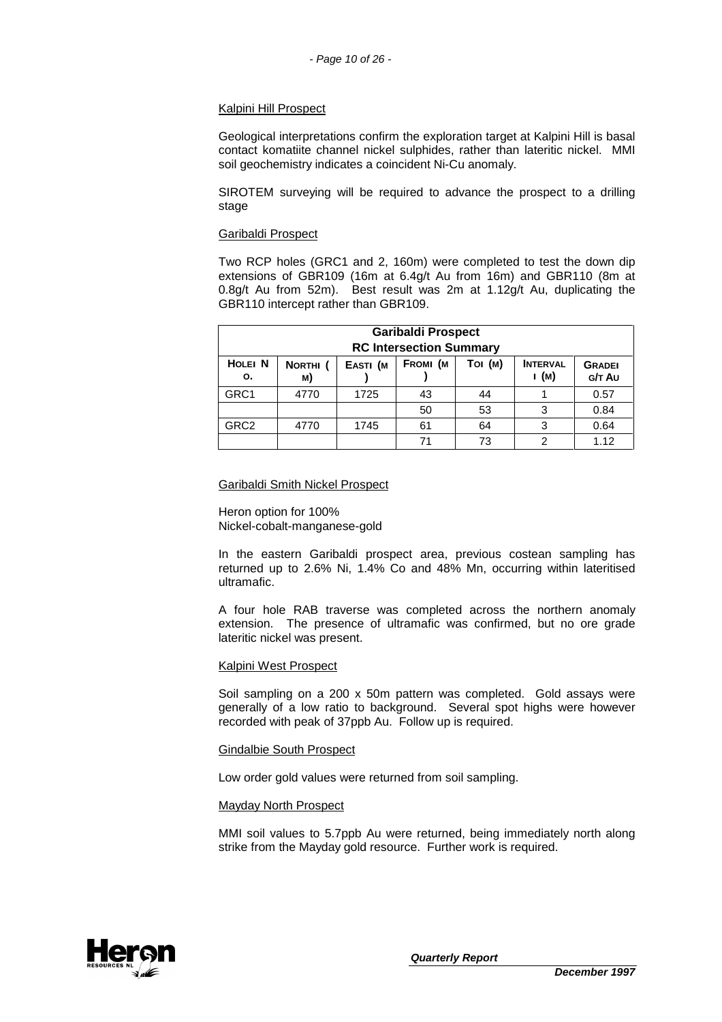#### Kalpini Hill Prospect

Geological interpretations confirm the exploration target at Kalpini Hill is basal contact komatiite channel nickel sulphides, rather than lateritic nickel. MMI soil geochemistry indicates a coincident Ni-Cu anomaly.

SIROTEM surveying will be required to advance the prospect to a drilling stage

#### Garibaldi Prospect

Two RCP holes (GRC1 and 2, 160m) were completed to test the down dip extensions of GBR109 (16m at 6.4g/t Au from 16m) and GBR110 (8m at 0.8g/t Au from 52m). Best result was 2m at 1.12g/t Au, duplicating the GBR110 intercept rather than GBR109.

|                                                                                                                                             | <b>Garibaldi Prospect</b><br><b>RC Intersection Summary</b> |      |    |    |   |      |
|---------------------------------------------------------------------------------------------------------------------------------------------|-------------------------------------------------------------|------|----|----|---|------|
| <b>HOLEI N</b><br>FROMI (M<br>Toi (M)<br><b>INTERVAL</b><br>EASTI (M<br>NORTHI <sub>(</sub><br><b>GRADEI</b><br>і (м)<br>G/T Au<br>о.<br>M) |                                                             |      |    |    |   |      |
| GRC1                                                                                                                                        | 4770                                                        | 1725 | 43 | 44 |   | 0.57 |
|                                                                                                                                             |                                                             |      | 50 | 53 | 3 | 0.84 |
| GRC <sub>2</sub>                                                                                                                            | 4770                                                        | 1745 | 61 | 64 | 3 | 0.64 |
|                                                                                                                                             |                                                             |      | 71 | 73 | っ | 1.12 |

#### Garibaldi Smith Nickel Prospect

Heron option for 100% Nickel-cobalt-manganese-gold

In the eastern Garibaldi prospect area, previous costean sampling has returned up to 2.6% Ni, 1.4% Co and 48% Mn, occurring within lateritised ultramafic.

A four hole RAB traverse was completed across the northern anomaly extension. The presence of ultramafic was confirmed, but no ore grade lateritic nickel was present.

#### Kalpini West Prospect

Soil sampling on a 200 x 50m pattern was completed. Gold assays were generally of a low ratio to background. Several spot highs were however recorded with peak of 37ppb Au. Follow up is required.

#### Gindalbie South Prospect

Low order gold values were returned from soil sampling.

#### Mayday North Prospect

MMI soil values to 5.7ppb Au were returned, being immediately north along strike from the Mayday gold resource. Further work is required.

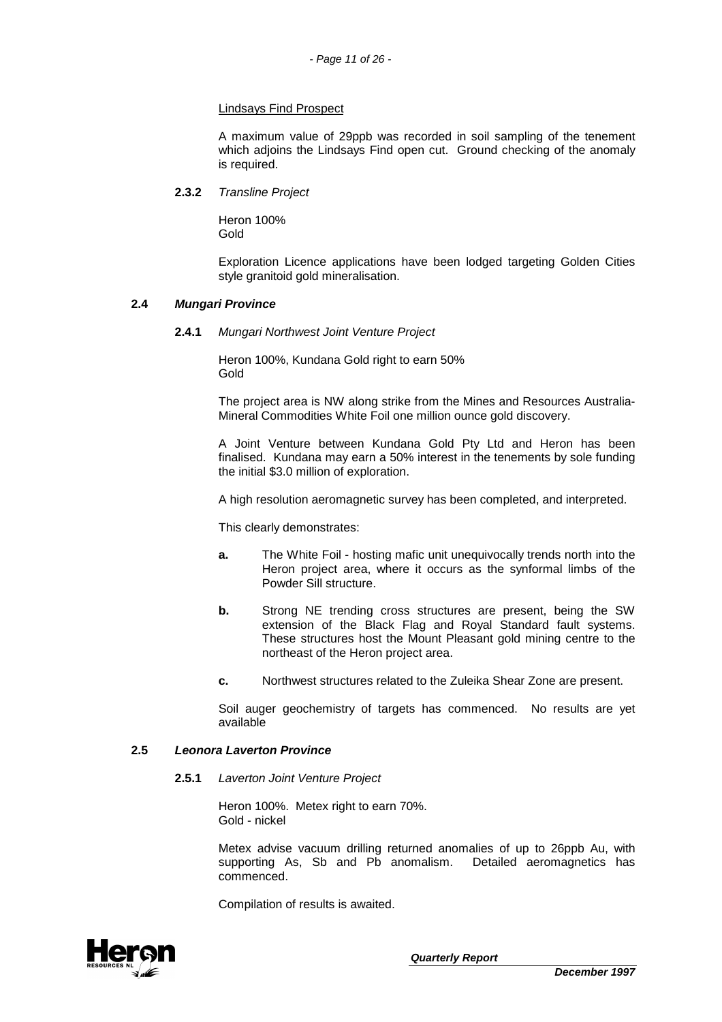## Lindsays Find Prospect

A maximum value of 29ppb was recorded in soil sampling of the tenement which adjoins the Lindsays Find open cut. Ground checking of the anomaly is required.

## **2.3.2** Transline Project

Heron 100% Gold

Exploration Licence applications have been lodged targeting Golden Cities style granitoid gold mineralisation.

## **2.4 Mungari Province**

#### **2.4.1** Mungari Northwest Joint Venture Project

Heron 100%, Kundana Gold right to earn 50% Gold

The project area is NW along strike from the Mines and Resources Australia-Mineral Commodities White Foil one million ounce gold discovery.

A Joint Venture between Kundana Gold Pty Ltd and Heron has been finalised. Kundana may earn a 50% interest in the tenements by sole funding the initial \$3.0 million of exploration.

A high resolution aeromagnetic survey has been completed, and interpreted.

This clearly demonstrates:

- **a.** The White Foil hosting mafic unit unequivocally trends north into the Heron project area, where it occurs as the synformal limbs of the Powder Sill structure.
- **b.** Strong NE trending cross structures are present, being the SW extension of the Black Flag and Royal Standard fault systems. These structures host the Mount Pleasant gold mining centre to the northeast of the Heron project area.
- **c.** Northwest structures related to the Zuleika Shear Zone are present.

Soil auger geochemistry of targets has commenced. No results are yet available

## **2.5 Leonora Laverton Province**

#### **2.5.1** Laverton Joint Venture Project

Heron 100%. Metex right to earn 70%. Gold - nickel

Metex advise vacuum drilling returned anomalies of up to 26ppb Au, with supporting As, Sb and Pb anomalism. Detailed aeromagnetics has commenced.

Compilation of results is awaited.

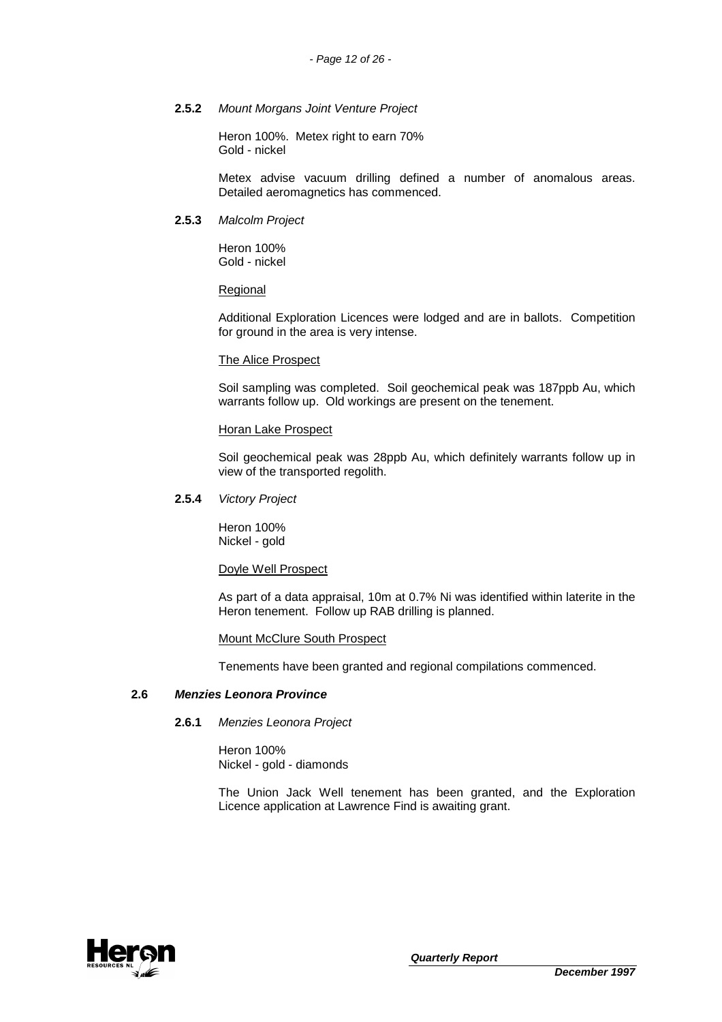## **2.5.2** Mount Morgans Joint Venture Project

Heron 100%. Metex right to earn 70% Gold - nickel

Metex advise vacuum drilling defined a number of anomalous areas. Detailed aeromagnetics has commenced.

## **2.5.3** Malcolm Project

Heron 100% Gold - nickel

## **Regional**

Additional Exploration Licences were lodged and are in ballots. Competition for ground in the area is very intense.

## The Alice Prospect

Soil sampling was completed. Soil geochemical peak was 187ppb Au, which warrants follow up. Old workings are present on the tenement.

## Horan Lake Prospect

Soil geochemical peak was 28ppb Au, which definitely warrants follow up in view of the transported regolith.

## **2.5.4** Victory Project

Heron 100% Nickel - gold

## Doyle Well Prospect

As part of a data appraisal, 10m at 0.7% Ni was identified within laterite in the Heron tenement. Follow up RAB drilling is planned.

## Mount McClure South Prospect

Tenements have been granted and regional compilations commenced.

## **2.6 Menzies Leonora Province**

## **2.6.1** Menzies Leonora Project

Heron 100% Nickel - gold - diamonds

The Union Jack Well tenement has been granted, and the Exploration Licence application at Lawrence Find is awaiting grant.

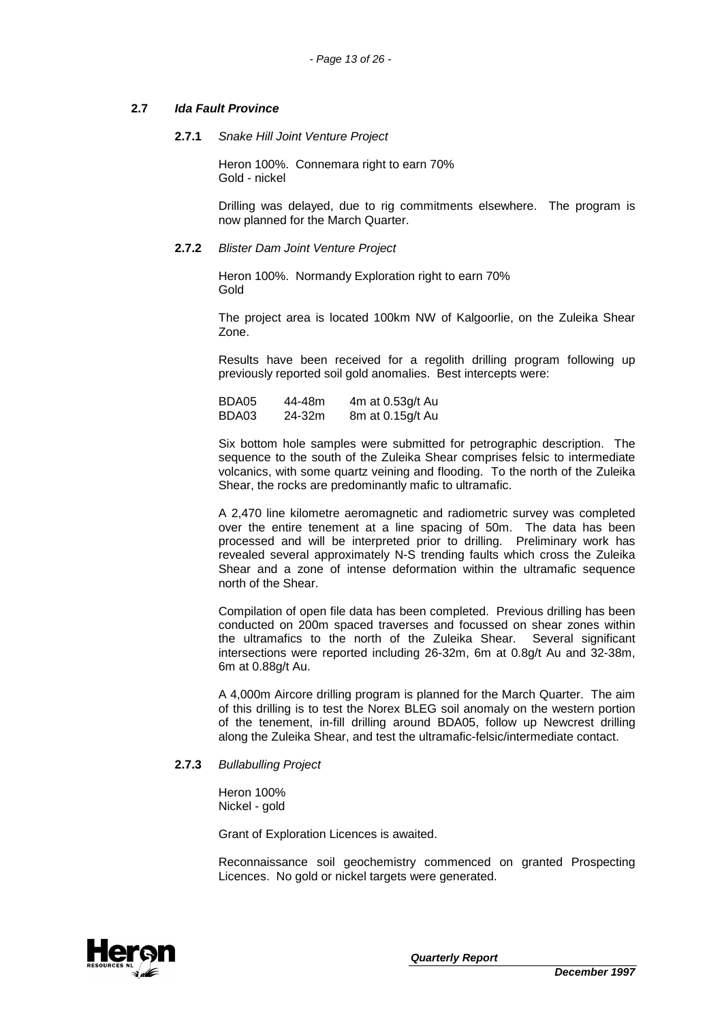## **2.7 Ida Fault Province**

## **2.7.1** Snake Hill Joint Venture Project

Heron 100%. Connemara right to earn 70% Gold - nickel

Drilling was delayed, due to rig commitments elsewhere. The program is now planned for the March Quarter.

## **2.7.2** Blister Dam Joint Venture Project

Heron 100%. Normandy Exploration right to earn 70% Gold

The project area is located 100km NW of Kalgoorlie, on the Zuleika Shear Zone.

Results have been received for a regolith drilling program following up previously reported soil gold anomalies. Best intercepts were:

| BDA05 | 44-48m | 4m at 0.53g/t Au |
|-------|--------|------------------|
| BDA03 | 24-32m | 8m at 0.15g/t Au |

Six bottom hole samples were submitted for petrographic description. The sequence to the south of the Zuleika Shear comprises felsic to intermediate volcanics, with some quartz veining and flooding. To the north of the Zuleika Shear, the rocks are predominantly mafic to ultramafic.

A 2,470 line kilometre aeromagnetic and radiometric survey was completed over the entire tenement at a line spacing of 50m. The data has been processed and will be interpreted prior to drilling. Preliminary work has revealed several approximately N-S trending faults which cross the Zuleika Shear and a zone of intense deformation within the ultramafic sequence north of the Shear.

Compilation of open file data has been completed. Previous drilling has been conducted on 200m spaced traverses and focussed on shear zones within the ultramafics to the north of the Zuleika Shear. Several significant intersections were reported including 26-32m, 6m at 0.8g/t Au and 32-38m, 6m at 0.88g/t Au.

A 4,000m Aircore drilling program is planned for the March Quarter. The aim of this drilling is to test the Norex BLEG soil anomaly on the western portion of the tenement, in-fill drilling around BDA05, follow up Newcrest drilling along the Zuleika Shear, and test the ultramafic-felsic/intermediate contact.

## **2.7.3** Bullabulling Project

Heron 100% Nickel - gold

Grant of Exploration Licences is awaited.

Reconnaissance soil geochemistry commenced on granted Prospecting Licences. No gold or nickel targets were generated.

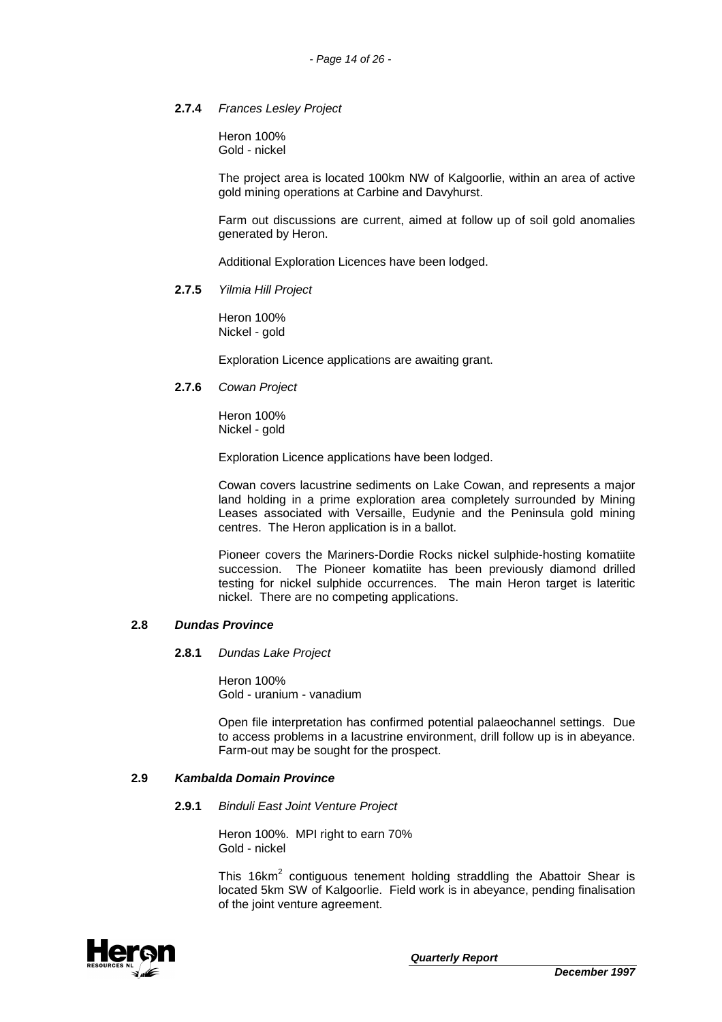## **2.7.4** Frances Lesley Project

Heron 100% Gold - nickel

The project area is located 100km NW of Kalgoorlie, within an area of active gold mining operations at Carbine and Davyhurst.

Farm out discussions are current, aimed at follow up of soil gold anomalies generated by Heron.

Additional Exploration Licences have been lodged.

## **2.7.5** Yilmia Hill Project

Heron 100% Nickel - gold

Exploration Licence applications are awaiting grant.

## **2.7.6** Cowan Project

Heron 100% Nickel - gold

Exploration Licence applications have been lodged.

Cowan covers lacustrine sediments on Lake Cowan, and represents a major land holding in a prime exploration area completely surrounded by Mining Leases associated with Versaille, Eudynie and the Peninsula gold mining centres. The Heron application is in a ballot.

Pioneer covers the Mariners-Dordie Rocks nickel sulphide-hosting komatiite succession. The Pioneer komatiite has been previously diamond drilled testing for nickel sulphide occurrences. The main Heron target is lateritic nickel. There are no competing applications.

## **2.8 Dundas Province**

## **2.8.1** Dundas Lake Project

Heron 100% Gold - uranium - vanadium

Open file interpretation has confirmed potential palaeochannel settings. Due to access problems in a lacustrine environment, drill follow up is in abeyance. Farm-out may be sought for the prospect.

## **2.9 Kambalda Domain Province**

**2.9.1** Binduli East Joint Venture Project

Heron 100%. MPI right to earn 70% Gold - nickel

This 16 $km^2$  contiguous tenement holding straddling the Abattoir Shear is located 5km SW of Kalgoorlie. Field work is in abeyance, pending finalisation of the joint venture agreement.

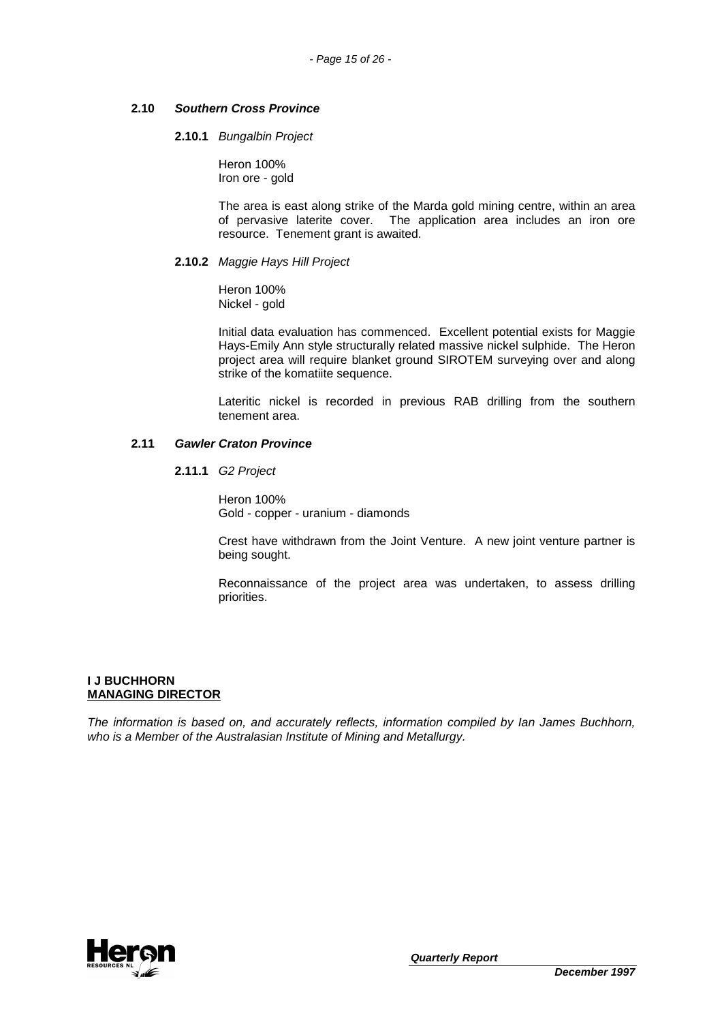## **2.10 Southern Cross Province**

## **2.10.1** Bungalbin Project

Heron 100% Iron ore - gold

The area is east along strike of the Marda gold mining centre, within an area of pervasive laterite cover. The application area includes an iron ore resource. Tenement grant is awaited.

## **2.10.2** Maggie Hays Hill Project

Heron 100% Nickel - gold

Initial data evaluation has commenced. Excellent potential exists for Maggie Hays-Emily Ann style structurally related massive nickel sulphide. The Heron project area will require blanket ground SIROTEM surveying over and along strike of the komatiite sequence.

Lateritic nickel is recorded in previous RAB drilling from the southern tenement area.

## **2.11 Gawler Craton Province**

**2.11.1** G2 Project

Heron 100% Gold - copper - uranium - diamonds

Crest have withdrawn from the Joint Venture. A new joint venture partner is being sought.

Reconnaissance of the project area was undertaken, to assess drilling priorities.

## **I J BUCHHORN MANAGING DIRECTOR**

The information is based on, and accurately reflects, information compiled by Ian James Buchhorn, who is a Member of the Australasian Institute of Mining and Metallurgy.

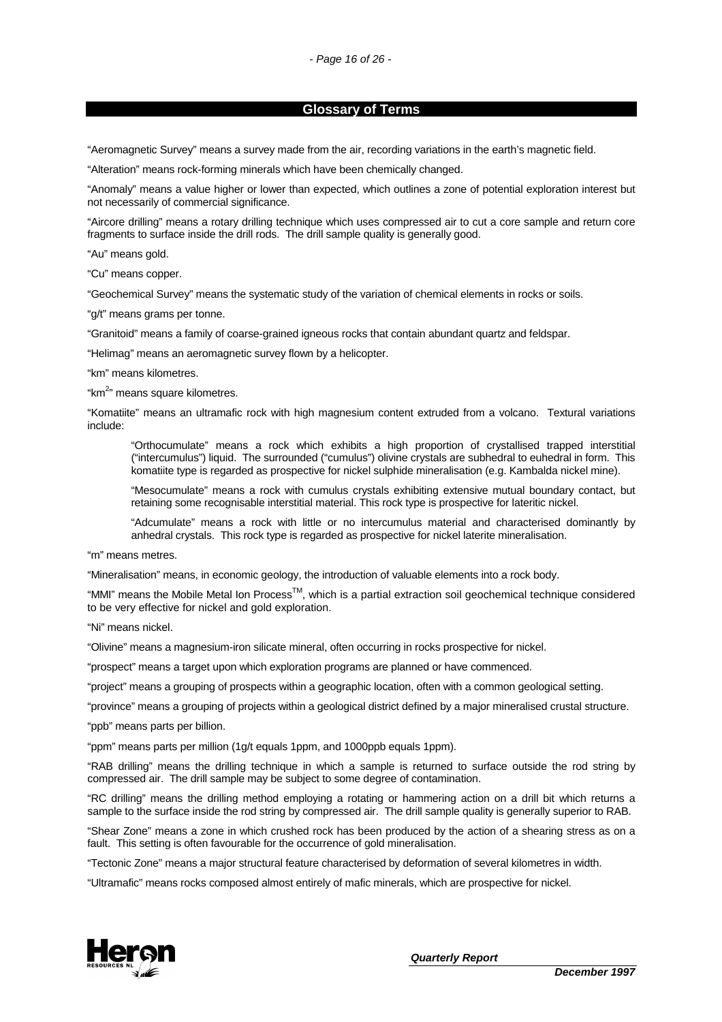#### **Glossary of Terms**

"Aeromagnetic Survey" means a survey made from the air, recording variations in the earth's magnetic field.

"Alteration" means rock-forming minerals which have been chemically changed.

"Anomaly" means a value higher or lower than expected, which outlines a zone of potential exploration interest but not necessarily of commercial significance.

"Aircore drilling" means a rotary drilling technique which uses compressed air to cut a core sample and return core fragments to surface inside the drill rods. The drill sample quality is generally good.

"Au" means gold.

"Cu" means copper.

"Geochemical Survey" means the systematic study of the variation of chemical elements in rocks or soils.

"g/t" means grams per tonne.

"Granitoid" means a family of coarse-grained igneous rocks that contain abundant quartz and feldspar.

"Helimag" means an aeromagnetic survey flown by a helicopter.

"km" means kilometres.

"km<sup>2</sup>" means square kilometres.

"Komatiite" means an ultramafic rock with high magnesium content extruded from a volcano. Textural variations include:

"Orthocumulate" means a rock which exhibits a high proportion of crystallised trapped interstitial ("intercumulus") liquid. The surrounded ("cumulus") olivine crystals are subhedral to euhedral in form. This komatiite type is regarded as prospective for nickel sulphide mineralisation (e.g. Kambalda nickel mine).

"Mesocumulate" means a rock with cumulus crystals exhibiting extensive mutual boundary contact, but retaining some recognisable interstitial material. This rock type is prospective for lateritic nickel.

"Adcumulate" means a rock with little or no intercumulus material and characterised dominantly by anhedral crystals. This rock type is regarded as prospective for nickel laterite mineralisation.

"m" means metres.

"Mineralisation" means, in economic geology, the introduction of valuable elements into a rock body.

"MMI" means the Mobile Metal Ion Process<sup>TM</sup>, which is a partial extraction soil geochemical technique considered to be very effective for nickel and gold exploration.

"Ni" means nickel.

"Olivine" means a magnesium-iron silicate mineral, often occurring in rocks prospective for nickel.

"prospect" means a target upon which exploration programs are planned or have commenced.

"project" means a grouping of prospects within a geographic location, often with a common geological setting.

"province" means a grouping of projects within a geological district defined by a major mineralised crustal structure.

"ppb" means parts per billion.

"ppm" means parts per million (1g/t equals 1ppm, and 1000ppb equals 1ppm).

"RAB drilling" means the drilling technique in which a sample is returned to surface outside the rod string by compressed air. The drill sample may be subject to some degree of contamination.

"RC drilling" means the drilling method employing a rotating or hammering action on a drill bit which returns a sample to the surface inside the rod string by compressed air. The drill sample quality is generally superior to RAB.

"Shear Zone" means a zone in which crushed rock has been produced by the action of a shearing stress as on a fault. This setting is often favourable for the occurrence of gold mineralisation.

"Tectonic Zone" means a major structural feature characterised by deformation of several kilometres in width.

"Ultramafic" means rocks composed almost entirely of mafic minerals, which are prospective for nickel.

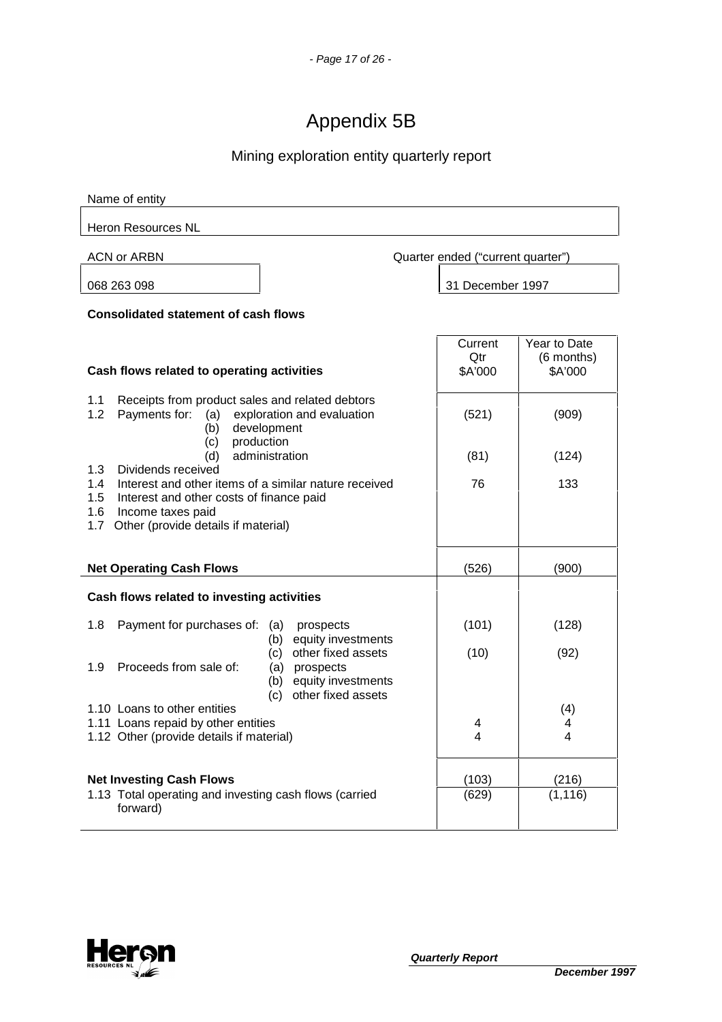# Appendix 5B

# Mining exploration entity quarterly report

| Name of entity                                                                                                                                                                                                      |                                   |                                       |  |
|---------------------------------------------------------------------------------------------------------------------------------------------------------------------------------------------------------------------|-----------------------------------|---------------------------------------|--|
| <b>Heron Resources NL</b>                                                                                                                                                                                           |                                   |                                       |  |
| ACN or ARBN                                                                                                                                                                                                         | Quarter ended ("current quarter") |                                       |  |
| 068 263 098                                                                                                                                                                                                         | 31 December 1997                  |                                       |  |
| <b>Consolidated statement of cash flows</b>                                                                                                                                                                         |                                   |                                       |  |
| Cash flows related to operating activities                                                                                                                                                                          | Current<br>Qtr<br>\$A'000         | Year to Date<br>(6 months)<br>\$A'000 |  |
| 1.1<br>Receipts from product sales and related debtors<br>Payments for:<br>1.2<br>exploration and evaluation<br>(a)<br>development<br>(b)                                                                           | (521)                             | (909)                                 |  |
| production<br>(c)<br>administration<br>(d)                                                                                                                                                                          | (81)                              | (124)                                 |  |
| 1.3<br>Dividends received<br>1.4<br>Interest and other items of a similar nature received<br>Interest and other costs of finance paid<br>1.5<br>1.6<br>Income taxes paid<br>1.7 Other (provide details if material) | 76                                | 133                                   |  |
| <b>Net Operating Cash Flows</b>                                                                                                                                                                                     | (526)                             | (900)                                 |  |
| Cash flows related to investing activities                                                                                                                                                                          |                                   |                                       |  |
| 1.8<br>Payment for purchases of:<br>prospects<br>(a)                                                                                                                                                                | (101)                             | (128)                                 |  |
| equity investments<br>(b)<br>other fixed assets<br>(c)<br>Proceeds from sale of:<br>1.9<br>(a) prospects<br>equity investments<br>(b)                                                                               | (10)                              | (92)                                  |  |
| other fixed assets<br>(c)<br>1.10 Loans to other entities<br>1.11 Loans repaid by other entities<br>1.12 Other (provide details if material)                                                                        | 4<br>4                            | (4)<br>4<br>4                         |  |
| <b>Net Investing Cash Flows</b><br>1.13 Total operating and investing cash flows (carried<br>forward)                                                                                                               | (103)<br>(629)                    | (216)<br>(1, 116)                     |  |

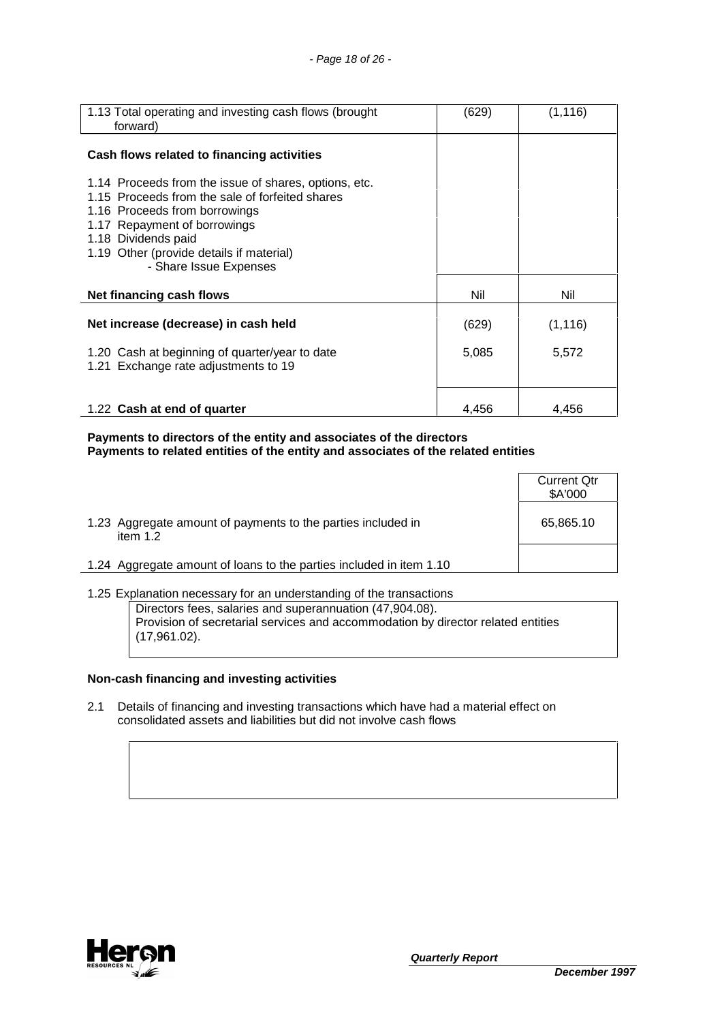| 1.13 Total operating and investing cash flows (brought<br>forward)                                                                                                                                                                                                     | (629) | (1, 116) |
|------------------------------------------------------------------------------------------------------------------------------------------------------------------------------------------------------------------------------------------------------------------------|-------|----------|
| Cash flows related to financing activities                                                                                                                                                                                                                             |       |          |
| 1.14 Proceeds from the issue of shares, options, etc.<br>1.15 Proceeds from the sale of forfeited shares<br>1.16 Proceeds from borrowings<br>1.17 Repayment of borrowings<br>1.18 Dividends paid<br>1.19 Other (provide details if material)<br>- Share Issue Expenses |       |          |
| Net financing cash flows                                                                                                                                                                                                                                               | Nil   | Nil      |
| Net increase (decrease) in cash held                                                                                                                                                                                                                                   | (629) | (1, 116) |
| 1.20 Cash at beginning of quarter/year to date<br>1.21 Exchange rate adjustments to 19                                                                                                                                                                                 | 5,085 | 5,572    |
| 1.22 Cash at end of quarter                                                                                                                                                                                                                                            | 4,456 | 4,456    |

**Payments to directors of the entity and associates of the directors Payments to related entities of the entity and associates of the related entities** 

|                                                                            | <b>Current Qtr</b><br>\$A'000 |
|----------------------------------------------------------------------------|-------------------------------|
| 1.23 Aggregate amount of payments to the parties included in<br>item $1.2$ | 65,865.10                     |
| 1.24 Aggregate amount of loans to the parties included in item 1.10        |                               |

1.25 Explanation necessary for an understanding of the transactions Directors fees, salaries and superannuation (47,904.08). Provision of secretarial services and accommodation by director related entities (17,961.02).

## **Non-cash financing and investing activities**

2.1 Details of financing and investing transactions which have had a material effect on consolidated assets and liabilities but did not involve cash flows

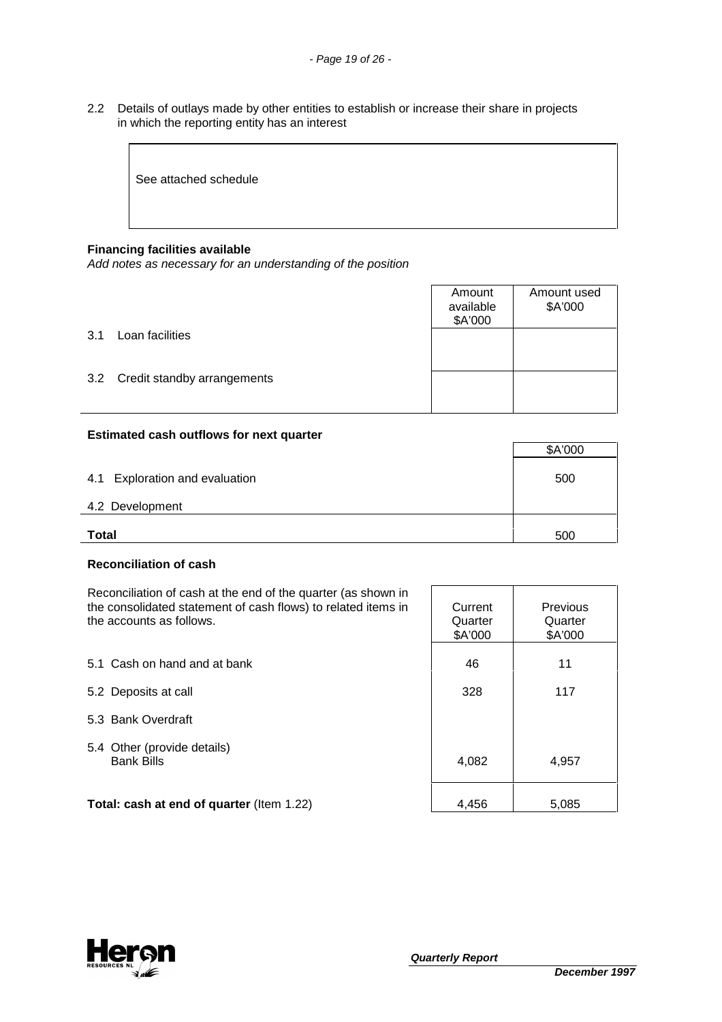2.2 Details of outlays made by other entities to establish or increase their share in projects in which the reporting entity has an interest

See attached schedule

## **Financing facilities available**

Add notes as necessary for an understanding of the position

|     |                             | Amount<br>available<br>\$A'000 | Amount used<br>\$A'000 |
|-----|-----------------------------|--------------------------------|------------------------|
| 3.1 | Loan facilities             |                                |                        |
| 3.2 | Credit standby arrangements |                                |                        |

## **Estimated cash outflows for next quarter**

|                                | \$A'000 |
|--------------------------------|---------|
| 4.1 Exploration and evaluation | 500     |
| 4.2 Development                |         |
| <b>Total</b>                   | 500     |

## **Reconciliation of cash**

Reconciliation of cash at the end of the quarter (as shown in the consolidated statement of cash flows) to related items in the accounts as follows.

|                                                  | \$A'000 | \$A'000 |
|--------------------------------------------------|---------|---------|
| 5.1 Cash on hand and at bank                     | 46      | 11      |
| 5.2 Deposits at call                             | 328     | 117     |
| 5.3 Bank Overdraft                               |         |         |
| 5.4 Other (provide details)<br><b>Bank Bills</b> | 4,082   | 4,957   |
| Total: cash at end of quarter (Item 1.22)        | 4,456   | 5,085   |



**Current Quarter** 

Previous **Quarter**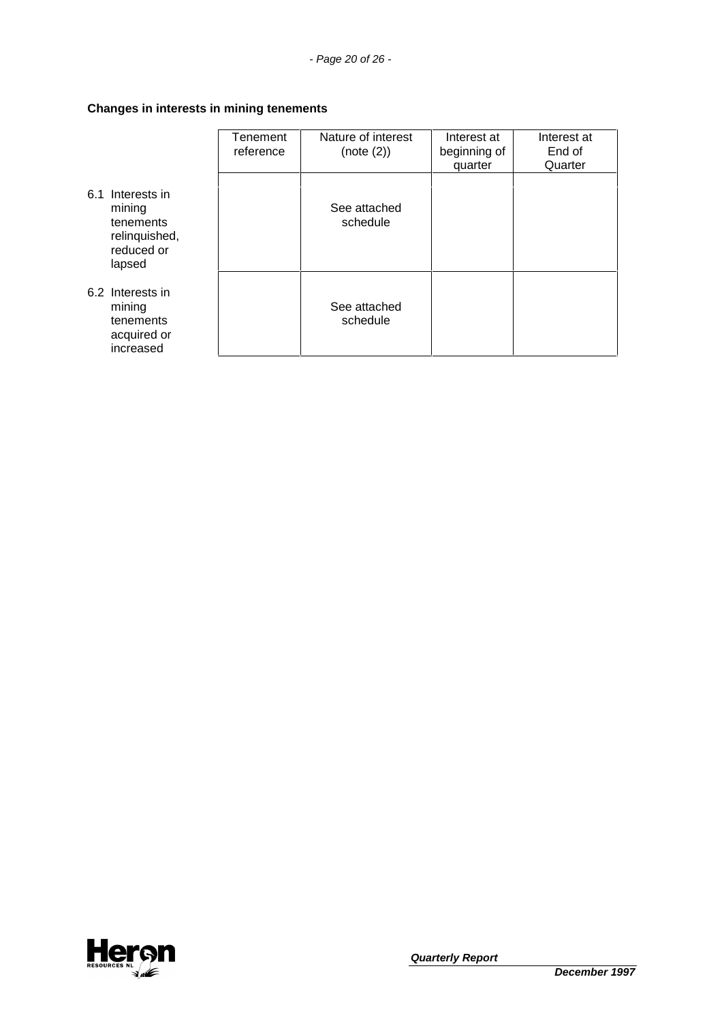## **Changes in interests in mining tenements**

|                                                                                  | Tenement<br>reference | Nature of interest<br>(note (2)) | Interest at<br>beginning of<br>quarter | Interest at<br>End of<br>Quarter |
|----------------------------------------------------------------------------------|-----------------------|----------------------------------|----------------------------------------|----------------------------------|
| 6.1 Interests in<br>mining<br>tenements<br>relinquished,<br>reduced or<br>lapsed |                       | See attached<br>schedule         |                                        |                                  |
| 6.2 Interests in<br>mining<br>tenements<br>acquired or<br>increased              |                       | See attached<br>schedule         |                                        |                                  |

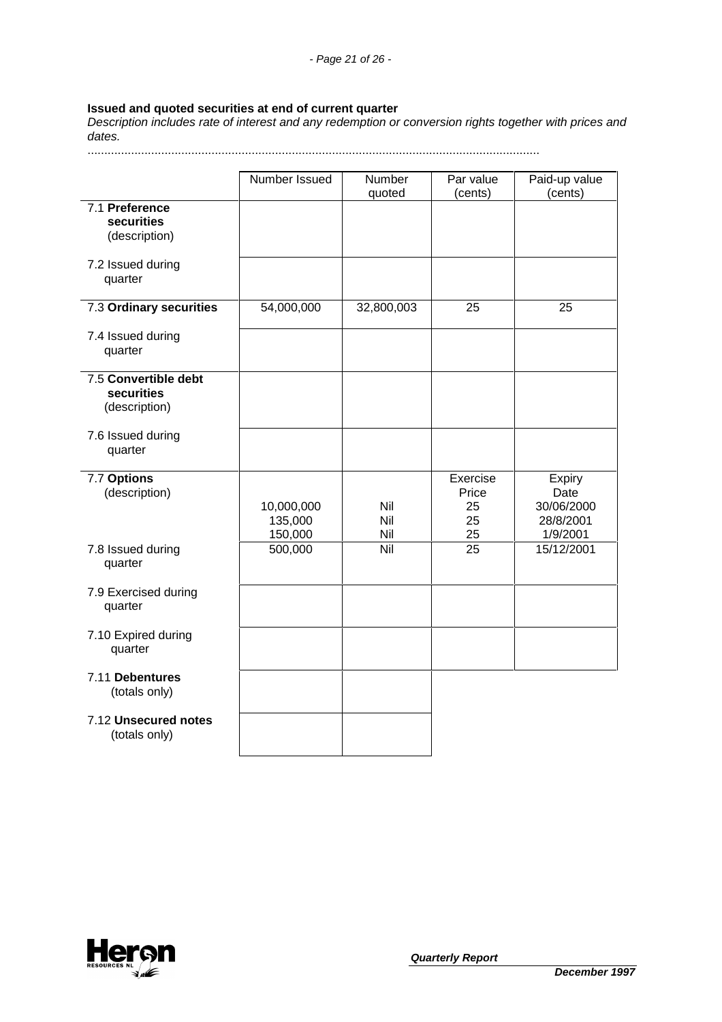## **Issued and quoted securities at end of current quarter**

Description includes rate of interest and any redemption or conversion rights together with prices and dates.

.......................................................................................................................................

|                                                     | Number Issued                    | Number<br>quoted  | Par value<br>(cents)                | Paid-up value<br>(cents)                              |
|-----------------------------------------------------|----------------------------------|-------------------|-------------------------------------|-------------------------------------------------------|
| 7.1 Preference<br>securities<br>(description)       |                                  |                   |                                     |                                                       |
| 7.2 Issued during<br>quarter                        |                                  |                   |                                     |                                                       |
| 7.3 Ordinary securities                             | 54,000,000                       | 32,800,003        | 25                                  | 25                                                    |
| 7.4 Issued during<br>quarter                        |                                  |                   |                                     |                                                       |
| 7.5 Convertible debt<br>securities<br>(description) |                                  |                   |                                     |                                                       |
| 7.6 Issued during<br>quarter                        |                                  |                   |                                     |                                                       |
| 7.7 Options<br>(description)                        | 10,000,000<br>135,000<br>150,000 | Nil<br>Nil<br>Nil | Exercise<br>Price<br>25<br>25<br>25 | Expiry<br>Date<br>30/06/2000<br>28/8/2001<br>1/9/2001 |
| 7.8 Issued during<br>quarter                        | 500,000                          | $\overline{N}$ il | 25                                  | 15/12/2001                                            |
| 7.9 Exercised during<br>quarter                     |                                  |                   |                                     |                                                       |
| 7.10 Expired during<br>quarter                      |                                  |                   |                                     |                                                       |
| 7.11 Debentures<br>(totals only)                    |                                  |                   |                                     |                                                       |
| 7.12 Unsecured notes<br>(totals only)               |                                  |                   |                                     |                                                       |

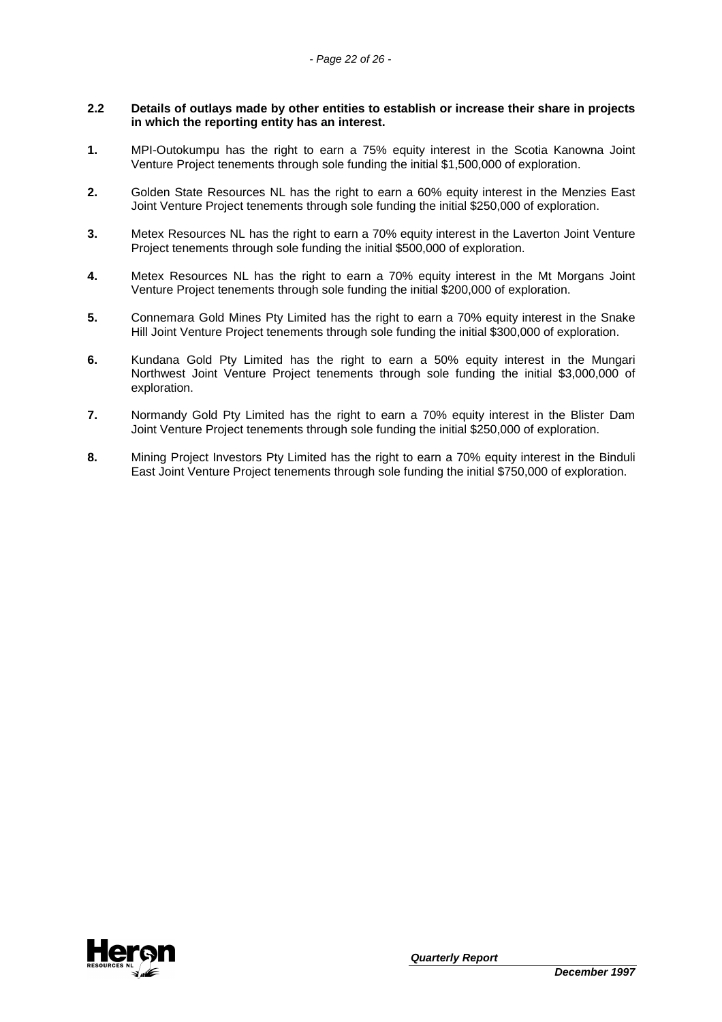## **2.2 Details of outlays made by other entities to establish or increase their share in projects in which the reporting entity has an interest.**

- **1.** MPI-Outokumpu has the right to earn a 75% equity interest in the Scotia Kanowna Joint Venture Project tenements through sole funding the initial \$1,500,000 of exploration.
- **2.** Golden State Resources NL has the right to earn a 60% equity interest in the Menzies East Joint Venture Project tenements through sole funding the initial \$250,000 of exploration.
- **3.** Metex Resources NL has the right to earn a 70% equity interest in the Laverton Joint Venture Project tenements through sole funding the initial \$500,000 of exploration.
- **4.** Metex Resources NL has the right to earn a 70% equity interest in the Mt Morgans Joint Venture Project tenements through sole funding the initial \$200,000 of exploration.
- **5.** Connemara Gold Mines Pty Limited has the right to earn a 70% equity interest in the Snake Hill Joint Venture Project tenements through sole funding the initial \$300,000 of exploration.
- **6.** Kundana Gold Pty Limited has the right to earn a 50% equity interest in the Mungari Northwest Joint Venture Project tenements through sole funding the initial \$3,000,000 of exploration.
- **7.** Normandy Gold Pty Limited has the right to earn a 70% equity interest in the Blister Dam Joint Venture Project tenements through sole funding the initial \$250,000 of exploration.
- **8.** Mining Project Investors Pty Limited has the right to earn a 70% equity interest in the Binduli East Joint Venture Project tenements through sole funding the initial \$750,000 of exploration.

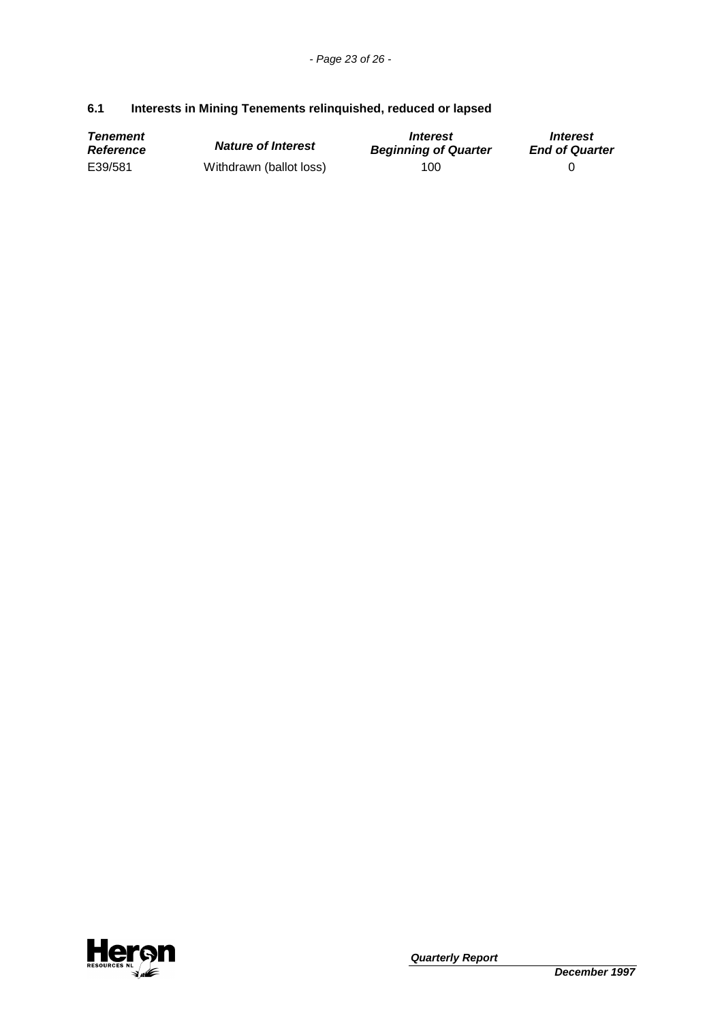## **6.1 Interests in Mining Tenements relinquished, reduced or lapsed**

| <b>Tenement</b>  | <b>Nature of Interest</b> | <i><u><b>Interest</b></u></i> | <i><b>Interest</b></i> |
|------------------|---------------------------|-------------------------------|------------------------|
| <b>Reference</b> |                           | <b>Beginning of Quarter</b>   | <b>End of Quarter</b>  |
| E39/581          | Withdrawn (ballot loss)   | 100                           |                        |

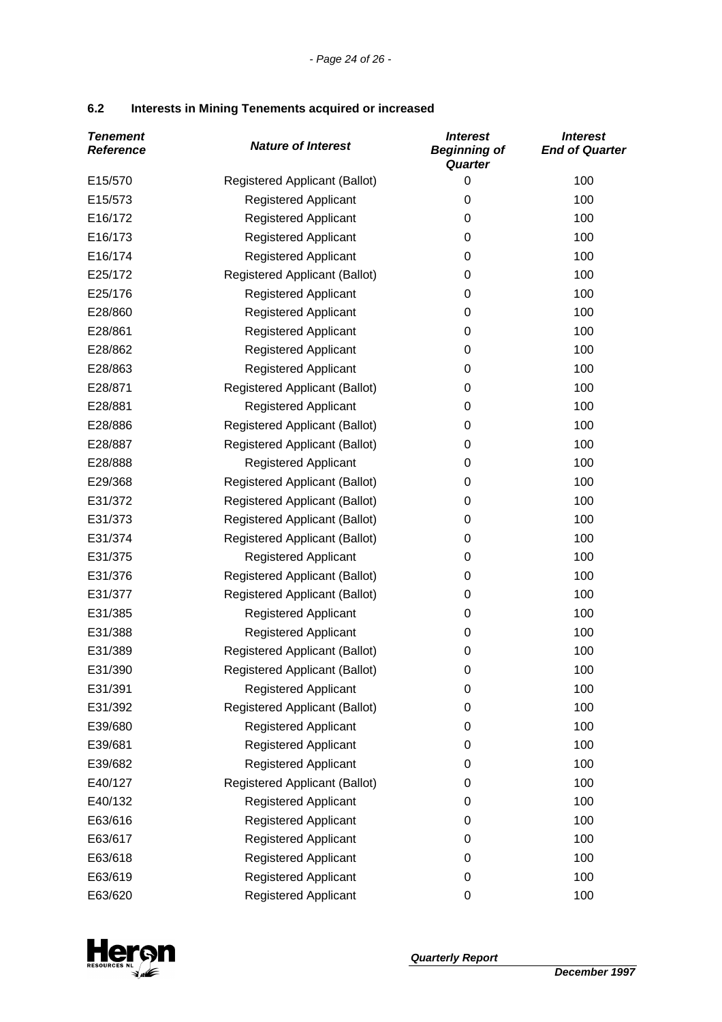| 6.2 | Interests in Mining Tenements acquired or increased |  |
|-----|-----------------------------------------------------|--|
|-----|-----------------------------------------------------|--|

| <b>Tenement</b><br><b>Reference</b> | <b>Nature of Interest</b>            | <b>Interest</b><br><b>Beginning of</b><br>Quarter | <b>Interest</b><br><b>End of Quarter</b> |
|-------------------------------------|--------------------------------------|---------------------------------------------------|------------------------------------------|
| E15/570                             | Registered Applicant (Ballot)        | 0                                                 | 100                                      |
| E15/573                             | <b>Registered Applicant</b>          | $\mathbf 0$                                       | 100                                      |
| E16/172                             | <b>Registered Applicant</b>          | 0                                                 | 100                                      |
| E16/173                             | <b>Registered Applicant</b>          | 0                                                 | 100                                      |
| E16/174                             | <b>Registered Applicant</b>          | 0                                                 | 100                                      |
| E25/172                             | <b>Registered Applicant (Ballot)</b> | 0                                                 | 100                                      |
| E25/176                             | <b>Registered Applicant</b>          | 0                                                 | 100                                      |
| E28/860                             | <b>Registered Applicant</b>          | 0                                                 | 100                                      |
| E28/861                             | <b>Registered Applicant</b>          | 0                                                 | 100                                      |
| E28/862                             | <b>Registered Applicant</b>          | 0                                                 | 100                                      |
| E28/863                             | <b>Registered Applicant</b>          | 0                                                 | 100                                      |
| E28/871                             | <b>Registered Applicant (Ballot)</b> | 0                                                 | 100                                      |
| E28/881                             | <b>Registered Applicant</b>          | 0                                                 | 100                                      |
| E28/886                             | <b>Registered Applicant (Ballot)</b> | 0                                                 | 100                                      |
| E28/887                             | <b>Registered Applicant (Ballot)</b> | 0                                                 | 100                                      |
| E28/888                             | <b>Registered Applicant</b>          | 0                                                 | 100                                      |
| E29/368                             | Registered Applicant (Ballot)        | 0                                                 | 100                                      |
| E31/372                             | <b>Registered Applicant (Ballot)</b> | 0                                                 | 100                                      |
| E31/373                             | <b>Registered Applicant (Ballot)</b> | 0                                                 | 100                                      |
| E31/374                             | <b>Registered Applicant (Ballot)</b> | 0                                                 | 100                                      |
| E31/375                             | <b>Registered Applicant</b>          | 0                                                 | 100                                      |
| E31/376                             | Registered Applicant (Ballot)        | 0                                                 | 100                                      |
| E31/377                             | <b>Registered Applicant (Ballot)</b> | 0                                                 | 100                                      |
| E31/385                             | <b>Registered Applicant</b>          | 0                                                 | 100                                      |
| E31/388                             | <b>Registered Applicant</b>          | 0                                                 | 100                                      |
| E31/389                             | Registered Applicant (Ballot)        | 0                                                 | 100                                      |
| E31/390                             | <b>Registered Applicant (Ballot)</b> | 0                                                 | 100                                      |
| E31/391                             | <b>Registered Applicant</b>          | 0                                                 | 100                                      |
| E31/392                             | <b>Registered Applicant (Ballot)</b> | 0                                                 | 100                                      |
| E39/680                             | <b>Registered Applicant</b>          | 0                                                 | 100                                      |
| E39/681                             | <b>Registered Applicant</b>          | 0                                                 | 100                                      |
| E39/682                             | <b>Registered Applicant</b>          | 0                                                 | 100                                      |
| E40/127                             | <b>Registered Applicant (Ballot)</b> | 0                                                 | 100                                      |
| E40/132                             | <b>Registered Applicant</b>          | 0                                                 | 100                                      |
| E63/616                             | <b>Registered Applicant</b>          | 0                                                 | 100                                      |
| E63/617                             | <b>Registered Applicant</b>          | 0                                                 | 100                                      |
| E63/618                             | <b>Registered Applicant</b>          | 0                                                 | 100                                      |
| E63/619                             | Registered Applicant                 | 0                                                 | 100                                      |
| E63/620                             | Registered Applicant                 | $\mathbf 0$                                       | 100                                      |

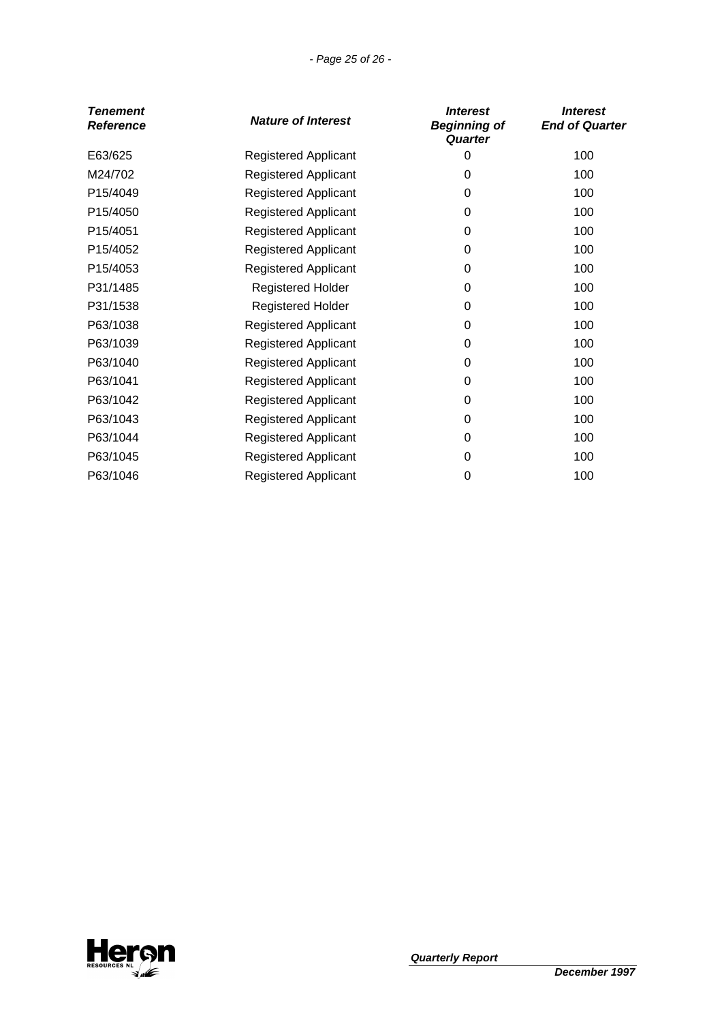## - Page 25 of 26 -

| Tenement<br><b>Reference</b> | <b>Nature of Interest</b>   | <i><b>Interest</b></i><br><b>Beginning of</b><br>Quarter | <b>Interest</b><br><b>End of Quarter</b> |
|------------------------------|-----------------------------|----------------------------------------------------------|------------------------------------------|
| E63/625                      | <b>Registered Applicant</b> | 0                                                        | 100                                      |
| M24/702                      | <b>Registered Applicant</b> | 0                                                        | 100                                      |
| P15/4049                     | <b>Registered Applicant</b> | 0                                                        | 100                                      |
| P15/4050                     | <b>Registered Applicant</b> | 0                                                        | 100                                      |
| P15/4051                     | <b>Registered Applicant</b> | 0                                                        | 100                                      |
| P15/4052                     | <b>Registered Applicant</b> | 0                                                        | 100                                      |
| P15/4053                     | <b>Registered Applicant</b> | 0                                                        | 100                                      |
| P31/1485                     | <b>Registered Holder</b>    | 0                                                        | 100                                      |
| P31/1538                     | <b>Registered Holder</b>    | $\pmb{0}$                                                | 100                                      |
| P63/1038                     | <b>Registered Applicant</b> | 0                                                        | 100                                      |
| P63/1039                     | <b>Registered Applicant</b> | 0                                                        | 100                                      |
| P63/1040                     | <b>Registered Applicant</b> | 0                                                        | 100                                      |
| P63/1041                     | <b>Registered Applicant</b> | 0                                                        | 100                                      |
| P63/1042                     | <b>Registered Applicant</b> | 0                                                        | 100                                      |
| P63/1043                     | <b>Registered Applicant</b> | $\pmb{0}$                                                | 100                                      |
| P63/1044                     | <b>Registered Applicant</b> | 0                                                        | 100                                      |
| P63/1045                     | <b>Registered Applicant</b> | 0                                                        | 100                                      |
| P63/1046                     | <b>Registered Applicant</b> | 0                                                        | 100                                      |